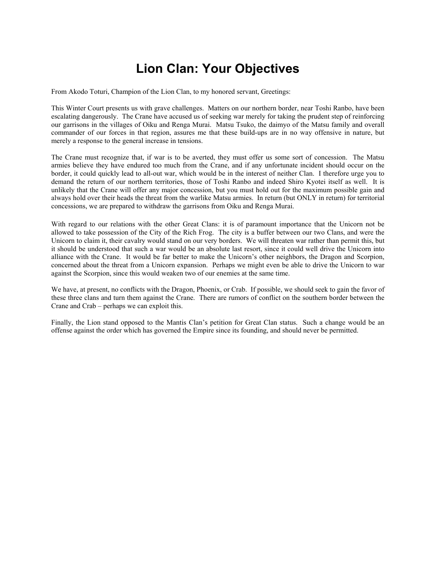# **Lion Clan: Your Objectives**

From Akodo Toturi, Champion of the Lion Clan, to my honored servant, Greetings:

This Winter Court presents us with grave challenges. Matters on our northern border, near Toshi Ranbo, have been escalating dangerously. The Crane have accused us of seeking war merely for taking the prudent step of reinforcing our garrisons in the villages of Oiku and Renga Murai. Matsu Tsuko, the daimyo of the Matsu family and overall commander of our forces in that region, assures me that these build-ups are in no way offensive in nature, but merely a response to the general increase in tensions.

The Crane must recognize that, if war is to be averted, they must offer us some sort of concession. The Matsu armies believe they have endured too much from the Crane, and if any unfortunate incident should occur on the border, it could quickly lead to all-out war, which would be in the interest of neither Clan. I therefore urge you to demand the return of our northern territories, those of Toshi Ranbo and indeed Shiro Kyotei itself as well. It is unlikely that the Crane will offer any major concession, but you must hold out for the maximum possible gain and always hold over their heads the threat from the warlike Matsu armies. In return (but ONLY in return) for territorial concessions, we are prepared to withdraw the garrisons from Oiku and Renga Murai.

With regard to our relations with the other Great Clans: it is of paramount importance that the Unicorn not be allowed to take possession of the City of the Rich Frog. The city is a buffer between our two Clans, and were the Unicorn to claim it, their cavalry would stand on our very borders. We will threaten war rather than permit this, but it should be understood that such a war would be an absolute last resort, since it could well drive the Unicorn into alliance with the Crane. It would be far better to make the Unicorn's other neighbors, the Dragon and Scorpion, concerned about the threat from a Unicorn expansion. Perhaps we might even be able to drive the Unicorn to war against the Scorpion, since this would weaken two of our enemies at the same time.

We have, at present, no conflicts with the Dragon, Phoenix, or Crab. If possible, we should seek to gain the favor of these three clans and turn them against the Crane. There are rumors of conflict on the southern border between the Crane and Crab – perhaps we can exploit this.

Finally, the Lion stand opposed to the Mantis Clan's petition for Great Clan status. Such a change would be an offense against the order which has governed the Empire since its founding, and should never be permitted.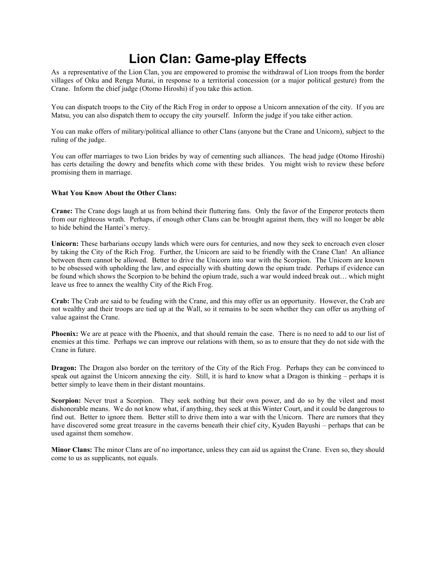# **Lion Clan: Game-play Effects**

As a representative of the Lion Clan, you are empowered to promise the withdrawal of Lion troops from the border villages of Oiku and Renga Murai, in response to a territorial concession (or a major political gesture) from the Crane. Inform the chief judge (Otomo Hiroshi) if you take this action.

You can dispatch troops to the City of the Rich Frog in order to oppose a Unicorn annexation of the city. If you are Matsu, you can also dispatch them to occupy the city yourself. Inform the judge if you take either action.

You can make offers of military/political alliance to other Clans (anyone but the Crane and Unicorn), subject to the ruling of the judge.

You can offer marriages to two Lion brides by way of cementing such alliances. The head judge (Otomo Hiroshi) has certs detailing the dowry and benefits which come with these brides. You might wish to review these before promising them in marriage.

#### **What You Know About the Other Clans:**

**Crane:** The Crane dogs laugh at us from behind their fluttering fans. Only the favor of the Emperor protects them from our righteous wrath. Perhaps, if enough other Clans can be brought against them, they will no longer be able to hide behind the Hantei's mercy.

**Unicorn:** These barbarians occupy lands which were ours for centuries, and now they seek to encroach even closer by taking the City of the Rich Frog. Further, the Unicorn are said to be friendly with the Crane Clan! An alliance between them cannot be allowed. Better to drive the Unicorn into war with the Scorpion. The Unicorn are known to be obsessed with upholding the law, and especially with shutting down the opium trade. Perhaps if evidence can be found which shows the Scorpion to be behind the opium trade, such a war would indeed break out… which might leave us free to annex the wealthy City of the Rich Frog.

**Crab:** The Crab are said to be feuding with the Crane, and this may offer us an opportunity. However, the Crab are not wealthy and their troops are tied up at the Wall, so it remains to be seen whether they can offer us anything of value against the Crane.

**Phoenix:** We are at peace with the Phoenix, and that should remain the case. There is no need to add to our list of enemies at this time. Perhaps we can improve our relations with them, so as to ensure that they do not side with the Crane in future.

**Dragon:** The Dragon also border on the territory of the City of the Rich Frog. Perhaps they can be convinced to speak out against the Unicorn annexing the city. Still, it is hard to know what a Dragon is thinking – perhaps it is better simply to leave them in their distant mountains.

**Scorpion:** Never trust a Scorpion. They seek nothing but their own power, and do so by the vilest and most dishonorable means. We do not know what, if anything, they seek at this Winter Court, and it could be dangerous to find out. Better to ignore them. Better still to drive them into a war with the Unicorn. There are rumors that they have discovered some great treasure in the caverns beneath their chief city, Kyuden Bayushi – perhaps that can be used against them somehow.

**Minor Clans:** The minor Clans are of no importance, unless they can aid us against the Crane. Even so, they should come to us as supplicants, not equals.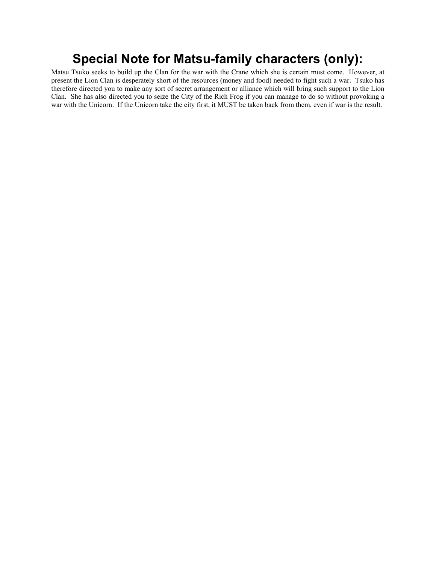## **Special Note for Matsu-family characters (only):**

Matsu Tsuko seeks to build up the Clan for the war with the Crane which she is certain must come. However, at present the Lion Clan is desperately short of the resources (money and food) needed to fight such a war. Tsuko has therefore directed you to make any sort of secret arrangement or alliance which will bring such support to the Lion Clan. She has also directed you to seize the City of the Rich Frog if you can manage to do so without provoking a war with the Unicorn. If the Unicorn take the city first, it MUST be taken back from them, even if war is the result.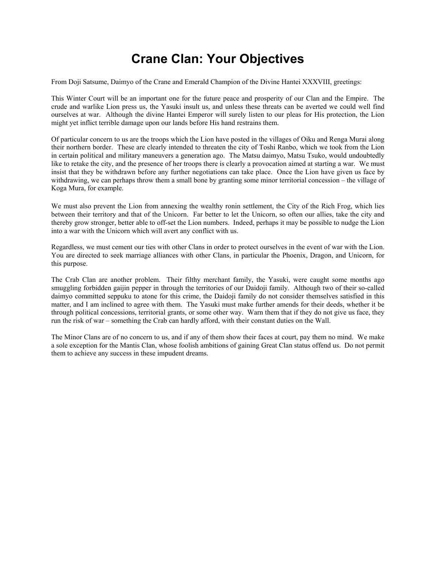# **Crane Clan: Your Objectives**

From Doji Satsume, Daimyo of the Crane and Emerald Champion of the Divine Hantei XXXVIII, greetings:

This Winter Court will be an important one for the future peace and prosperity of our Clan and the Empire. The crude and warlike Lion press us, the Yasuki insult us, and unless these threats can be averted we could well find ourselves at war. Although the divine Hantei Emperor will surely listen to our pleas for His protection, the Lion might yet inflict terrible damage upon our lands before His hand restrains them.

Of particular concern to us are the troops which the Lion have posted in the villages of Oiku and Renga Murai along their northern border. These are clearly intended to threaten the city of Toshi Ranbo, which we took from the Lion in certain political and military maneuvers a generation ago. The Matsu daimyo, Matsu Tsuko, would undoubtedly like to retake the city, and the presence of her troops there is clearly a provocation aimed at starting a war. We must insist that they be withdrawn before any further negotiations can take place. Once the Lion have given us face by withdrawing, we can perhaps throw them a small bone by granting some minor territorial concession – the village of Koga Mura, for example.

We must also prevent the Lion from annexing the wealthy ronin settlement, the City of the Rich Frog, which lies between their territory and that of the Unicorn. Far better to let the Unicorn, so often our allies, take the city and thereby grow stronger, better able to off-set the Lion numbers. Indeed, perhaps it may be possible to nudge the Lion into a war with the Unicorn which will avert any conflict with us.

Regardless, we must cement our ties with other Clans in order to protect ourselves in the event of war with the Lion. You are directed to seek marriage alliances with other Clans, in particular the Phoenix, Dragon, and Unicorn, for this purpose.

The Crab Clan are another problem. Their filthy merchant family, the Yasuki, were caught some months ago smuggling forbidden gaijin pepper in through the territories of our Daidoji family. Although two of their so-called daimyo committed seppuku to atone for this crime, the Daidoji family do not consider themselves satisfied in this matter, and I am inclined to agree with them. The Yasuki must make further amends for their deeds, whether it be through political concessions, territorial grants, or some other way. Warn them that if they do not give us face, they run the risk of war – something the Crab can hardly afford, with their constant duties on the Wall.

The Minor Clans are of no concern to us, and if any of them show their faces at court, pay them no mind. We make a sole exception for the Mantis Clan, whose foolish ambitions of gaining Great Clan status offend us. Do not permit them to achieve any success in these impudent dreams.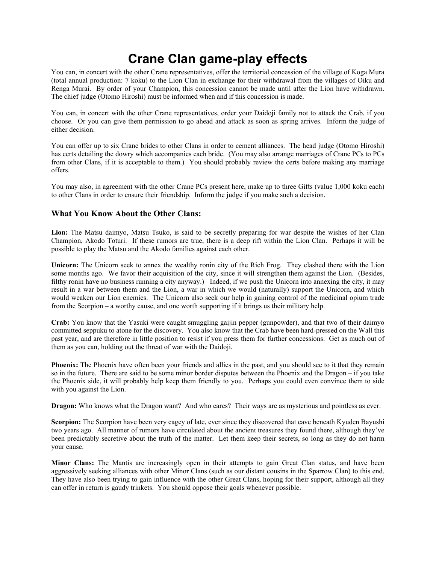### **Crane Clan game-play effects**

You can, in concert with the other Crane representatives, offer the territorial concession of the village of Koga Mura (total annual production: 7 koku) to the Lion Clan in exchange for their withdrawal from the villages of Oiku and Renga Murai. By order of your Champion, this concession cannot be made until after the Lion have withdrawn. The chief judge (Otomo Hiroshi) must be informed when and if this concession is made.

You can, in concert with the other Crane representatives, order your Daidoji family not to attack the Crab, if you choose. Or you can give them permission to go ahead and attack as soon as spring arrives. Inform the judge of either decision.

You can offer up to six Crane brides to other Clans in order to cement alliances. The head judge (Otomo Hiroshi) has certs detailing the dowry which accompanies each bride. (You may also arrange marriages of Crane PCs to PCs from other Clans, if it is acceptable to them.) You should probably review the certs before making any marriage offers.

You may also, in agreement with the other Crane PCs present here, make up to three Gifts (value 1,000 koku each) to other Clans in order to ensure their friendship. Inform the judge if you make such a decision.

#### **What You Know About the Other Clans:**

**Lion:** The Matsu daimyo, Matsu Tsuko, is said to be secretly preparing for war despite the wishes of her Clan Champion, Akodo Toturi. If these rumors are true, there is a deep rift within the Lion Clan. Perhaps it will be possible to play the Matsu and the Akodo families against each other.

**Unicorn:** The Unicorn seek to annex the wealthy ronin city of the Rich Frog. They clashed there with the Lion some months ago. We favor their acquisition of the city, since it will strengthen them against the Lion. (Besides, filthy ronin have no business running a city anyway.) Indeed, if we push the Unicorn into annexing the city, it may result in a war between them and the Lion, a war in which we would (naturally) support the Unicorn, and which would weaken our Lion enemies. The Unicorn also seek our help in gaining control of the medicinal opium trade from the Scorpion – a worthy cause, and one worth supporting if it brings us their military help.

**Crab:** You know that the Yasuki were caught smuggling gaijin pepper (gunpowder), and that two of their daimyo committed seppuku to atone for the discovery. You also know that the Crab have been hard-pressed on the Wall this past year, and are therefore in little position to resist if you press them for further concessions. Get as much out of them as you can, holding out the threat of war with the Daidoji.

**Phoenix:** The Phoenix have often been your friends and allies in the past, and you should see to it that they remain so in the future. There are said to be some minor border disputes between the Phoenix and the Dragon – if you take the Phoenix side, it will probably help keep them friendly to you. Perhaps you could even convince them to side with you against the Lion.

**Dragon:** Who knows what the Dragon want? And who cares? Their ways are as mysterious and pointless as ever.

**Scorpion:** The Scorpion have been very cagey of late, ever since they discovered that cave beneath Kyuden Bayushi two years ago. All manner of rumors have circulated about the ancient treasures they found there, although they've been predictably secretive about the truth of the matter. Let them keep their secrets, so long as they do not harm your cause.

**Minor Clans:** The Mantis are increasingly open in their attempts to gain Great Clan status, and have been aggressively seeking alliances with other Minor Clans (such as our distant cousins in the Sparrow Clan) to this end. They have also been trying to gain influence with the other Great Clans, hoping for their support, although all they can offer in return is gaudy trinkets. You should oppose their goals whenever possible.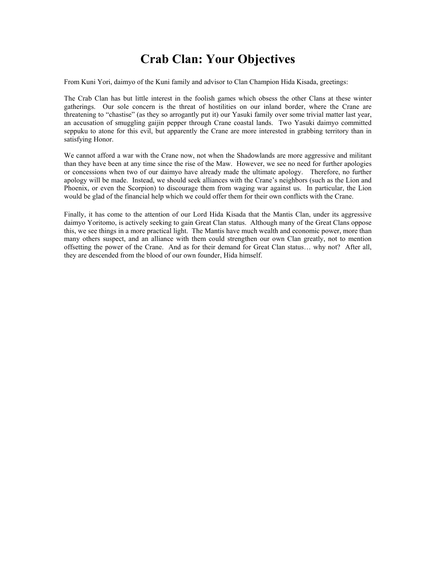### **Crab Clan: Your Objectives**

From Kuni Yori, daimyo of the Kuni family and advisor to Clan Champion Hida Kisada, greetings:

The Crab Clan has but little interest in the foolish games which obsess the other Clans at these winter gatherings. Our sole concern is the threat of hostilities on our inland border, where the Crane are threatening to "chastise" (as they so arrogantly put it) our Yasuki family over some trivial matter last year, an accusation of smuggling gaijin pepper through Crane coastal lands. Two Yasuki daimyo committed seppuku to atone for this evil, but apparently the Crane are more interested in grabbing territory than in satisfying Honor.

We cannot afford a war with the Crane now, not when the Shadowlands are more aggressive and militant than they have been at any time since the rise of the Maw. However, we see no need for further apologies or concessions when two of our daimyo have already made the ultimate apology. Therefore, no further apology will be made. Instead, we should seek alliances with the Crane's neighbors (such as the Lion and Phoenix, or even the Scorpion) to discourage them from waging war against us. In particular, the Lion would be glad of the financial help which we could offer them for their own conflicts with the Crane.

Finally, it has come to the attention of our Lord Hida Kisada that the Mantis Clan, under its aggressive daimyo Yoritomo, is actively seeking to gain Great Clan status. Although many of the Great Clans oppose this, we see things in a more practical light. The Mantis have much wealth and economic power, more than many others suspect, and an alliance with them could strengthen our own Clan greatly, not to mention offsetting the power of the Crane. And as for their demand for Great Clan status… why not? After all, they are descended from the blood of our own founder, Hida himself.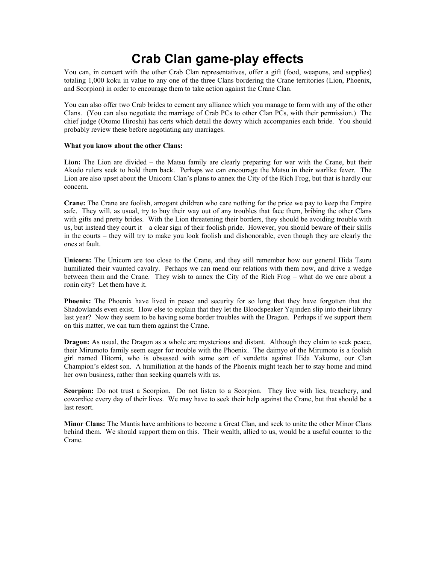### **Crab Clan game-play effects**

You can, in concert with the other Crab Clan representatives, offer a gift (food, weapons, and supplies) totaling 1,000 koku in value to any one of the three Clans bordering the Crane territories (Lion, Phoenix, and Scorpion) in order to encourage them to take action against the Crane Clan.

You can also offer two Crab brides to cement any alliance which you manage to form with any of the other Clans. (You can also negotiate the marriage of Crab PCs to other Clan PCs, with their permission.) The chief judge (Otomo Hiroshi) has certs which detail the dowry which accompanies each bride. You should probably review these before negotiating any marriages.

#### **What you know about the other Clans:**

**Lion:** The Lion are divided – the Matsu family are clearly preparing for war with the Crane, but their Akodo rulers seek to hold them back. Perhaps we can encourage the Matsu in their warlike fever. The Lion are also upset about the Unicorn Clan's plans to annex the City of the Rich Frog, but that is hardly our concern.

**Crane:** The Crane are foolish, arrogant children who care nothing for the price we pay to keep the Empire safe. They will, as usual, try to buy their way out of any troubles that face them, bribing the other Clans with gifts and pretty brides. With the Lion threatening their borders, they should be avoiding trouble with us, but instead they court it – a clear sign of their foolish pride. However, you should beware of their skills in the courts – they will try to make you look foolish and dishonorable, even though they are clearly the ones at fault.

**Unicorn:** The Unicorn are too close to the Crane, and they still remember how our general Hida Tsuru humiliated their vaunted cavalry. Perhaps we can mend our relations with them now, and drive a wedge between them and the Crane. They wish to annex the City of the Rich Frog – what do we care about a ronin city? Let them have it.

**Phoenix:** The Phoenix have lived in peace and security for so long that they have forgotten that the Shadowlands even exist. How else to explain that they let the Bloodspeaker Yajinden slip into their library last year? Now they seem to be having some border troubles with the Dragon. Perhaps if we support them on this matter, we can turn them against the Crane.

**Dragon:** As usual, the Dragon as a whole are mysterious and distant. Although they claim to seek peace, their Mirumoto family seem eager for trouble with the Phoenix. The daimyo of the Mirumoto is a foolish girl named Hitomi, who is obsessed with some sort of vendetta against Hida Yakumo, our Clan Champion's eldest son. A humiliation at the hands of the Phoenix might teach her to stay home and mind her own business, rather than seeking quarrels with us.

**Scorpion:** Do not trust a Scorpion. Do not listen to a Scorpion. They live with lies, treachery, and cowardice every day of their lives. We may have to seek their help against the Crane, but that should be a last resort.

**Minor Clans:** The Mantis have ambitions to become a Great Clan, and seek to unite the other Minor Clans behind them. We should support them on this. Their wealth, allied to us, would be a useful counter to the Crane.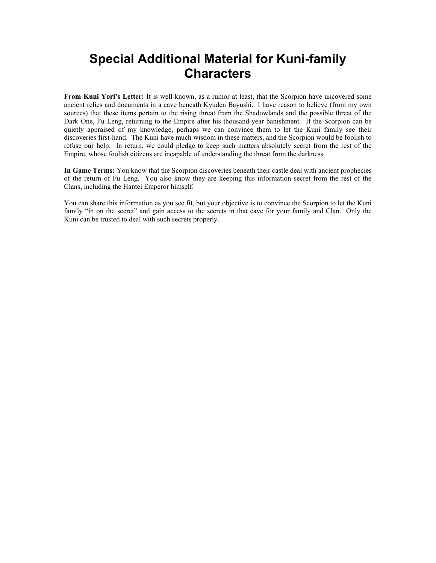### **Special Additional Material for Kuni-family Characters**

**From Kuni Yori's Letter:** It is well-known, as a rumor at least, that the Scorpion have uncovered some ancient relics and documents in a cave beneath Kyuden Bayushi. I have reason to believe (from my own sources) that these items pertain to the rising threat from the Shadowlands and the possible threat of the Dark One, Fu Leng, returning to the Empire after his thousand-year banishment. If the Scorpion can be quietly appraised of my knowledge, perhaps we can convince them to let the Kuni family see their discoveries first-hand. The Kuni have much wisdom in these matters, and the Scorpion would be foolish to refuse our help. In return, we could pledge to keep such matters absolutely secret from the rest of the Empire, whose foolish citizens are incapable of understanding the threat from the darkness.

**In Game Terms:** You know that the Scorpion discoveries beneath their castle deal with ancient prophecies of the return of Fu Leng. You also know they are keeping this information secret from the rest of the Clans, including the Hantei Emperor himself.

You can share this information as you see fit, but your objective is to convince the Scorpion to let the Kuni family "in on the secret" and gain access to the secrets in that cave for your family and Clan. Only the Kuni can be trusted to deal with such secrets properly.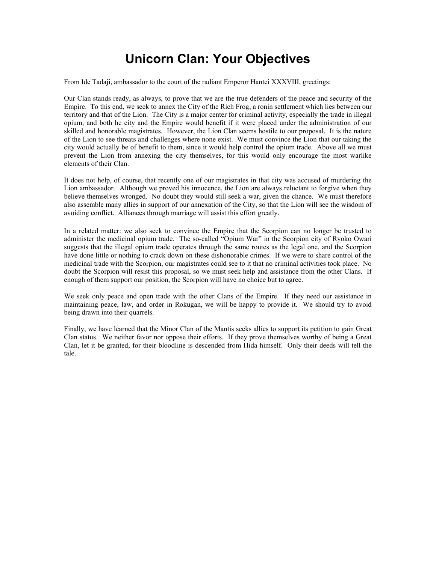# **Unicorn Clan: Your Objectives**

From Ide Tadaji, ambassador to the court of the radiant Emperor Hantei XXXVIII, greetings:

Our Clan stands ready, as always, to prove that we are the true defenders of the peace and security of the Empire. To this end, we seek to annex the City of the Rich Frog, a ronin settlement which lies between our territory and that of the Lion. The City is a major center for criminal activity, especially the trade in illegal opium, and both he city and the Empire would benefit if it were placed under the administration of our skilled and honorable magistrates. However, the Lion Clan seems hostile to our proposal. It is the nature of the Lion to see threats and challenges where none exist. We must convince the Lion that our taking the city would actually be of benefit to them, since it would help control the opium trade. Above all we must prevent the Lion from annexing the city themselves, for this would only encourage the most warlike elements of their Clan.

It does not help, of course, that recently one of our magistrates in that city was accused of murdering the Lion ambassador. Although we proved his innocence, the Lion are always reluctant to forgive when they believe themselves wronged. No doubt they would still seek a war, given the chance. We must therefore also assemble many allies in support of our annexation of the City, so that the Lion will see the wisdom of avoiding conflict. Alliances through marriage will assist this effort greatly.

In a related matter: we also seek to convince the Empire that the Scorpion can no longer be trusted to administer the medicinal opium trade. The so-called "Opium War" in the Scorpion city of Ryoko Owari suggests that the illegal opium trade operates through the same routes as the legal one, and the Scorpion have done little or nothing to crack down on these dishonorable crimes. If we were to share control of the medicinal trade with the Scorpion, our magistrates could see to it that no criminal activities took place. No doubt the Scorpion will resist this proposal, so we must seek help and assistance from the other Clans. If enough of them support our position, the Scorpion will have no choice but to agree.

We seek only peace and open trade with the other Clans of the Empire. If they need our assistance in maintaining peace, law, and order in Rokugan, we will be happy to provide it. We should try to avoid being drawn into their quarrels.

Finally, we have learned that the Minor Clan of the Mantis seeks allies to support its petition to gain Great Clan status. We neither favor nor oppose their efforts. If they prove themselves worthy of being a Great Clan, let it be granted, for their bloodline is descended from Hida himself. Only their deeds will tell the tale.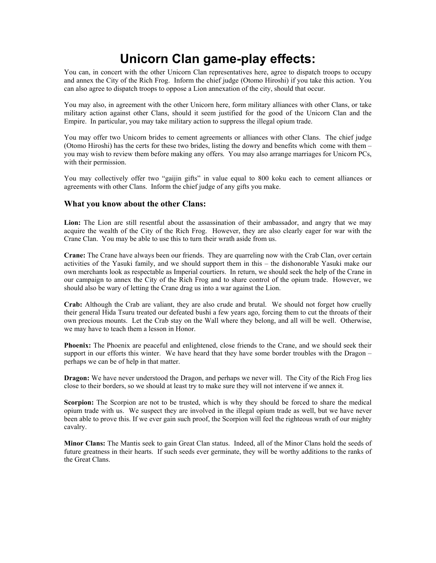# **Unicorn Clan game-play effects:**

You can, in concert with the other Unicorn Clan representatives here, agree to dispatch troops to occupy and annex the City of the Rich Frog. Inform the chief judge (Otomo Hiroshi) if you take this action. You can also agree to dispatch troops to oppose a Lion annexation of the city, should that occur.

You may also, in agreement with the other Unicorn here, form military alliances with other Clans, or take military action against other Clans, should it seem justified for the good of the Unicorn Clan and the Empire. In particular, you may take military action to suppress the illegal opium trade.

You may offer two Unicorn brides to cement agreements or alliances with other Clans. The chief judge (Otomo Hiroshi) has the certs for these two brides, listing the dowry and benefits which come with them – you may wish to review them before making any offers. You may also arrange marriages for Unicorn PCs, with their permission.

You may collectively offer two "gaijin gifts" in value equal to 800 koku each to cement alliances or agreements with other Clans. Inform the chief judge of any gifts you make.

#### **What you know about the other Clans:**

**Lion:** The Lion are still resentful about the assassination of their ambassador, and angry that we may acquire the wealth of the City of the Rich Frog. However, they are also clearly eager for war with the Crane Clan. You may be able to use this to turn their wrath aside from us.

**Crane:** The Crane have always been our friends. They are quarreling now with the Crab Clan, over certain activities of the Yasuki family, and we should support them in this – the dishonorable Yasuki make our own merchants look as respectable as Imperial courtiers. In return, we should seek the help of the Crane in our campaign to annex the City of the Rich Frog and to share control of the opium trade. However, we should also be wary of letting the Crane drag us into a war against the Lion.

**Crab:** Although the Crab are valiant, they are also crude and brutal. We should not forget how cruelly their general Hida Tsuru treated our defeated bushi a few years ago, forcing them to cut the throats of their own precious mounts. Let the Crab stay on the Wall where they belong, and all will be well. Otherwise, we may have to teach them a lesson in Honor.

**Phoenix:** The Phoenix are peaceful and enlightened, close friends to the Crane, and we should seek their support in our efforts this winter. We have heard that they have some border troubles with the Dragon – perhaps we can be of help in that matter.

**Dragon:** We have never understood the Dragon, and perhaps we never will. The City of the Rich Frog lies close to their borders, so we should at least try to make sure they will not intervene if we annex it.

**Scorpion:** The Scorpion are not to be trusted, which is why they should be forced to share the medical opium trade with us. We suspect they are involved in the illegal opium trade as well, but we have never been able to prove this. If we ever gain such proof, the Scorpion will feel the righteous wrath of our mighty cavalry.

**Minor Clans:** The Mantis seek to gain Great Clan status. Indeed, all of the Minor Clans hold the seeds of future greatness in their hearts. If such seeds ever germinate, they will be worthy additions to the ranks of the Great Clans.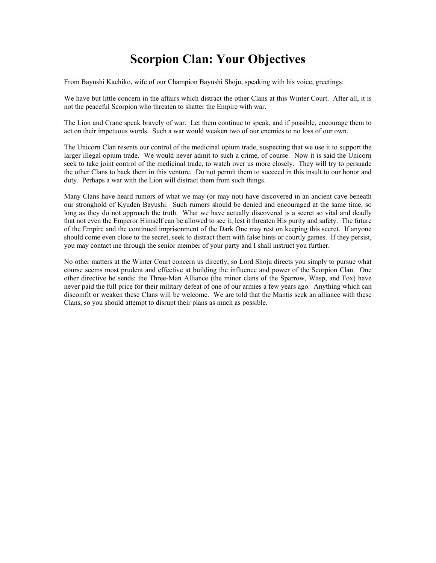### **Scorpion Clan: Your Objectives**

From Bayushi Kachiko, wife of our Champion Bayushi Shoju, speaking with his voice, greetings:

We have but little concern in the affairs which distract the other Clans at this Winter Court. After all, it is not the peaceful Scorpion who threaten to shatter the Empire with war.

The Lion and Crane speak bravely of war. Let them continue to speak, and if possible, encourage them to act on their impetuous words. Such a war would weaken two of our enemies to no loss of our own.

The Unicorn Clan resents our control of the medicinal opium trade, suspecting that we use it to support the larger illegal opium trade. We would never admit to such a crime, of course. Now it is said the Unicorn seek to take joint control of the medicinal trade, to watch over us more closely. They will try to persuade the other Clans to back them in this venture. Do not permit them to succeed in this insult to our honor and duty. Perhaps a war with the Lion will distract them from such things.

Many Clans have heard rumors of what we may (or may not) have discovered in an ancient cave beneath our stronghold of Kyuden Bayushi. Such rumors should be denied and encouraged at the same time, so long as they do not approach the truth. What we have actually discovered is a secret so vital and deadly that not even the Emperor Himself can be allowed to see it, lest it threaten His purity and safety. The future of the Empire and the continued imprisonment of the Dark One may rest on keeping this secret. If anyone should come even close to the secret, seek to distract them with false hints or courtly games. If they persist, you may contact me through the senior member of your party and I shall instruct you further.

No other matters at the Winter Court concern us directly, so Lord Shoju directs you simply to pursue what course seems most prudent and effective at building the influence and power of the Scorpion Clan. One other directive he sends: the Three-Man Alliance (the minor clans of the Sparrow, Wasp, and Fox) have never paid the full price for their military defeat of one of our armies a few years ago. Anything which can discomfit or weaken these Clans will be welcome. We are told that the Mantis seek an alliance with these Clans, so you should attempt to disrupt their plans as much as possible.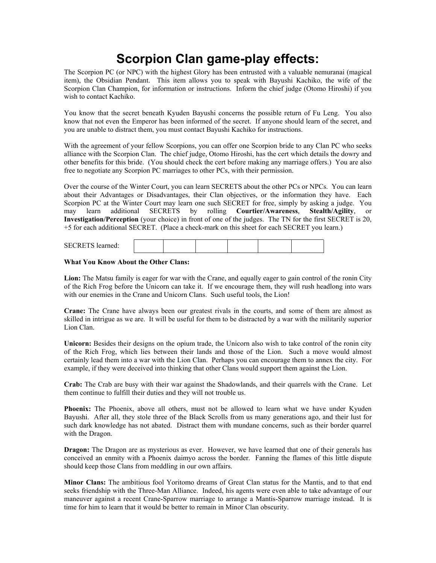# **Scorpion Clan game-play effects:**

The Scorpion PC (or NPC) with the highest Glory has been entrusted with a valuable nemuranai (magical item), the Obsidian Pendant. This item allows you to speak with Bayushi Kachiko, the wife of the Scorpion Clan Champion, for information or instructions. Inform the chief judge (Otomo Hiroshi) if you wish to contact Kachiko.

You know that the secret beneath Kyuden Bayushi concerns the possible return of Fu Leng. You also know that not even the Emperor has been informed of the secret. If anyone should learn of the secret, and you are unable to distract them, you must contact Bayushi Kachiko for instructions.

With the agreement of your fellow Scorpions, you can offer one Scorpion bride to any Clan PC who seeks alliance with the Scorpion Clan. The chief judge, Otomo Hiroshi, has the cert which details the dowry and other benefits for this bride. (You should check the cert before making any marriage offers.) You are also free to negotiate any Scorpion PC marriages to other PCs, with their permission.

Over the course of the Winter Court, you can learn SECRETS about the other PCs or NPCs. You can learn about their Advantages or Disadvantages, their Clan objectives, or the information they have. Each Scorpion PC at the Winter Court may learn one such SECRET for free, simply by asking a judge. You may learn additional SECRETS by rolling **Courtier/Awareness**, **Stealth/Agility**, or **Investigation/Perception** (your choice) in front of one of the judges. The TN for the first SECRET is 20, +5 for each additional SECRET. (Place a check-mark on this sheet for each SECRET you learn.)

| <b>SECRETS</b> learned: |  |  |  |  |  |  |
|-------------------------|--|--|--|--|--|--|
|-------------------------|--|--|--|--|--|--|

#### **What You Know About the Other Clans:**

**Lion:** The Matsu family is eager for war with the Crane, and equally eager to gain control of the ronin City of the Rich Frog before the Unicorn can take it. If we encourage them, they will rush headlong into wars with our enemies in the Crane and Unicorn Clans. Such useful tools, the Lion!

**Crane:** The Crane have always been our greatest rivals in the courts, and some of them are almost as skilled in intrigue as we are. It will be useful for them to be distracted by a war with the militarily superior Lion Clan.

**Unicorn:** Besides their designs on the opium trade, the Unicorn also wish to take control of the ronin city of the Rich Frog, which lies between their lands and those of the Lion. Such a move would almost certainly lead them into a war with the Lion Clan. Perhaps you can encourage them to annex the city. For example, if they were deceived into thinking that other Clans would support them against the Lion.

**Crab:** The Crab are busy with their war against the Shadowlands, and their quarrels with the Crane. Let them continue to fulfill their duties and they will not trouble us.

**Phoenix:** The Phoenix, above all others, must not be allowed to learn what we have under Kyuden Bayushi. After all, they stole three of the Black Scrolls from us many generations ago, and their lust for such dark knowledge has not abated. Distract them with mundane concerns, such as their border quarrel with the Dragon.

**Dragon:** The Dragon are as mysterious as ever. However, we have learned that one of their generals has conceived an enmity with a Phoenix daimyo across the border. Fanning the flames of this little dispute should keep those Clans from meddling in our own affairs.

**Minor Clans:** The ambitious fool Yoritomo dreams of Great Clan status for the Mantis, and to that end seeks friendship with the Three-Man Alliance. Indeed, his agents were even able to take advantage of our maneuver against a recent Crane-Sparrow marriage to arrange a Mantis-Sparrow marriage instead. It is time for him to learn that it would be better to remain in Minor Clan obscurity.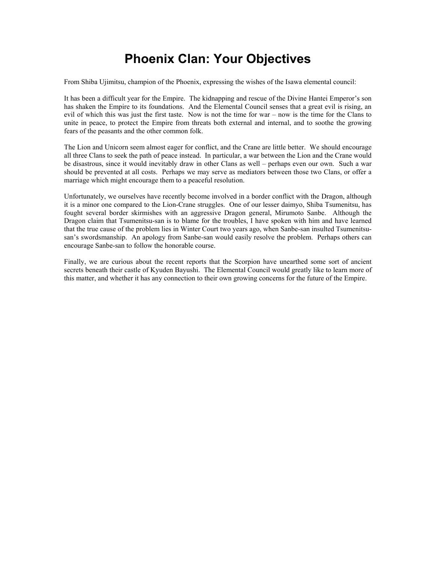## **Phoenix Clan: Your Objectives**

From Shiba Ujimitsu, champion of the Phoenix, expressing the wishes of the Isawa elemental council:

It has been a difficult year for the Empire. The kidnapping and rescue of the Divine Hantei Emperor's son has shaken the Empire to its foundations. And the Elemental Council senses that a great evil is rising, an evil of which this was just the first taste. Now is not the time for war – now is the time for the Clans to unite in peace, to protect the Empire from threats both external and internal, and to soothe the growing fears of the peasants and the other common folk.

The Lion and Unicorn seem almost eager for conflict, and the Crane are little better. We should encourage all three Clans to seek the path of peace instead. In particular, a war between the Lion and the Crane would be disastrous, since it would inevitably draw in other Clans as well – perhaps even our own. Such a war should be prevented at all costs. Perhaps we may serve as mediators between those two Clans, or offer a marriage which might encourage them to a peaceful resolution.

Unfortunately, we ourselves have recently become involved in a border conflict with the Dragon, although it is a minor one compared to the Lion-Crane struggles. One of our lesser daimyo, Shiba Tsumenitsu, has fought several border skirmishes with an aggressive Dragon general, Mirumoto Sanbe. Although the Dragon claim that Tsumenitsu-san is to blame for the troubles, I have spoken with him and have learned that the true cause of the problem lies in Winter Court two years ago, when Sanbe-san insulted Tsumenitsusan's swordsmanship. An apology from Sanbe-san would easily resolve the problem. Perhaps others can encourage Sanbe-san to follow the honorable course.

Finally, we are curious about the recent reports that the Scorpion have unearthed some sort of ancient secrets beneath their castle of Kyuden Bayushi. The Elemental Council would greatly like to learn more of this matter, and whether it has any connection to their own growing concerns for the future of the Empire.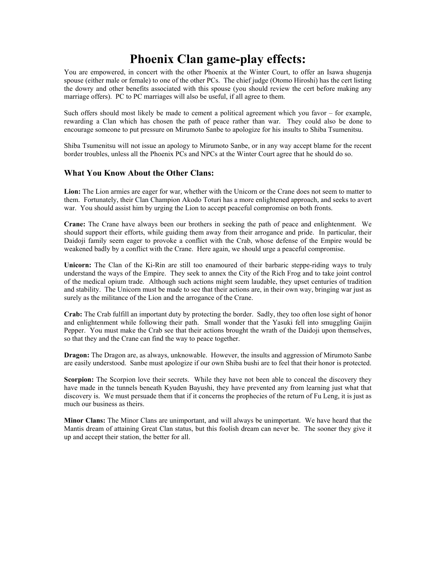### **Phoenix Clan game-play effects:**

You are empowered, in concert with the other Phoenix at the Winter Court, to offer an Isawa shugenja spouse (either male or female) to one of the other PCs. The chief judge (Otomo Hiroshi) has the cert listing the dowry and other benefits associated with this spouse (you should review the cert before making any marriage offers). PC to PC marriages will also be useful, if all agree to them.

Such offers should most likely be made to cement a political agreement which you favor – for example, rewarding a Clan which has chosen the path of peace rather than war. They could also be done to encourage someone to put pressure on Mirumoto Sanbe to apologize for his insults to Shiba Tsumenitsu.

Shiba Tsumenitsu will not issue an apology to Mirumoto Sanbe, or in any way accept blame for the recent border troubles, unless all the Phoenix PCs and NPCs at the Winter Court agree that he should do so.

#### **What You Know About the Other Clans:**

**Lion:** The Lion armies are eager for war, whether with the Unicorn or the Crane does not seem to matter to them. Fortunately, their Clan Champion Akodo Toturi has a more enlightened approach, and seeks to avert war. You should assist him by urging the Lion to accept peaceful compromise on both fronts.

**Crane:** The Crane have always been our brothers in seeking the path of peace and enlightenment. We should support their efforts, while guiding them away from their arrogance and pride. In particular, their Daidoji family seem eager to provoke a conflict with the Crab, whose defense of the Empire would be weakened badly by a conflict with the Crane. Here again, we should urge a peaceful compromise.

**Unicorn:** The Clan of the Ki-Rin are still too enamoured of their barbaric steppe-riding ways to truly understand the ways of the Empire. They seek to annex the City of the Rich Frog and to take joint control of the medical opium trade. Although such actions might seem laudable, they upset centuries of tradition and stability. The Unicorn must be made to see that their actions are, in their own way, bringing war just as surely as the militance of the Lion and the arrogance of the Crane.

**Crab:** The Crab fulfill an important duty by protecting the border. Sadly, they too often lose sight of honor and enlightenment while following their path. Small wonder that the Yasuki fell into smuggling Gaijin Pepper. You must make the Crab see that their actions brought the wrath of the Daidoji upon themselves, so that they and the Crane can find the way to peace together.

**Dragon:** The Dragon are, as always, unknowable. However, the insults and aggression of Mirumoto Sanbe are easily understood. Sanbe must apologize if our own Shiba bushi are to feel that their honor is protected.

**Scorpion:** The Scorpion love their secrets. While they have not been able to conceal the discovery they have made in the tunnels beneath Kyuden Bayushi, they have prevented any from learning just what that discovery is. We must persuade them that if it concerns the prophecies of the return of Fu Leng, it is just as much our business as theirs.

**Minor Clans:** The Minor Clans are unimportant, and will always be unimportant. We have heard that the Mantis dream of attaining Great Clan status, but this foolish dream can never be. The sooner they give it up and accept their station, the better for all.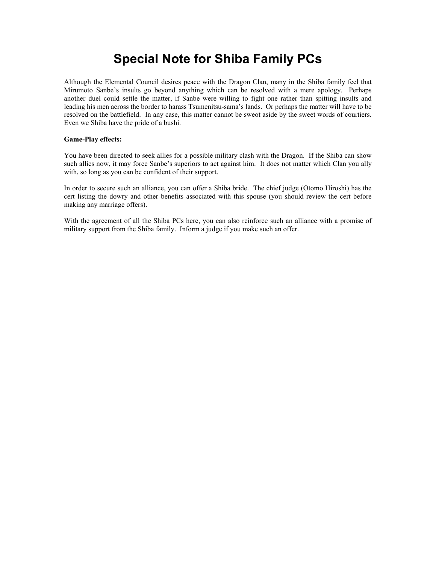# **Special Note for Shiba Family PCs**

Although the Elemental Council desires peace with the Dragon Clan, many in the Shiba family feel that Mirumoto Sanbe's insults go beyond anything which can be resolved with a mere apology. Perhaps another duel could settle the matter, if Sanbe were willing to fight one rather than spitting insults and leading his men across the border to harass Tsumenitsu-sama's lands. Or perhaps the matter will have to be resolved on the battlefield. In any case, this matter cannot be sweot aside by the sweet words of courtiers. Even we Shiba have the pride of a bushi.

#### **Game-Play effects:**

You have been directed to seek allies for a possible military clash with the Dragon. If the Shiba can show such allies now, it may force Sanbe's superiors to act against him. It does not matter which Clan you ally with, so long as you can be confident of their support.

In order to secure such an alliance, you can offer a Shiba bride. The chief judge (Otomo Hiroshi) has the cert listing the dowry and other benefits associated with this spouse (you should review the cert before making any marriage offers).

With the agreement of all the Shiba PCs here, you can also reinforce such an alliance with a promise of military support from the Shiba family. Inform a judge if you make such an offer.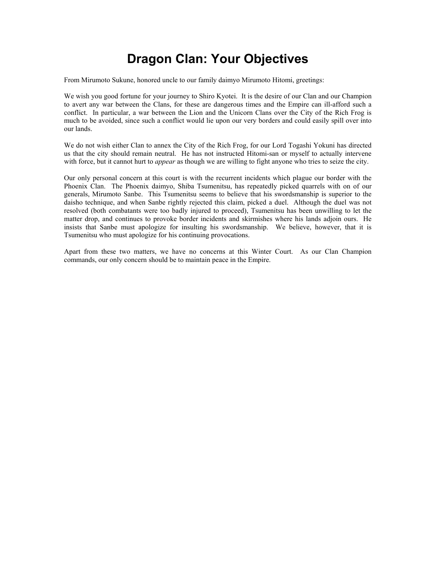# **Dragon Clan: Your Objectives**

From Mirumoto Sukune, honored uncle to our family daimyo Mirumoto Hitomi, greetings:

We wish you good fortune for your journey to Shiro Kyotei. It is the desire of our Clan and our Champion to avert any war between the Clans, for these are dangerous times and the Empire can ill-afford such a conflict. In particular, a war between the Lion and the Unicorn Clans over the City of the Rich Frog is much to be avoided, since such a conflict would lie upon our very borders and could easily spill over into our lands.

We do not wish either Clan to annex the City of the Rich Frog, for our Lord Togashi Yokuni has directed us that the city should remain neutral. He has not instructed Hitomi-san or myself to actually intervene with force, but it cannot hurt to *appear* as though we are willing to fight anyone who tries to seize the city.

Our only personal concern at this court is with the recurrent incidents which plague our border with the Phoenix Clan. The Phoenix daimyo, Shiba Tsumenitsu, has repeatedly picked quarrels with on of our generals, Mirumoto Sanbe. This Tsumenitsu seems to believe that his swordsmanship is superior to the daisho technique, and when Sanbe rightly rejected this claim, picked a duel. Although the duel was not resolved (both combatants were too badly injured to proceed), Tsumenitsu has been unwilling to let the matter drop, and continues to provoke border incidents and skirmishes where his lands adjoin ours. He insists that Sanbe must apologize for insulting his swordsmanship. We believe, however, that it is Tsumenitsu who must apologize for his continuing provocations.

Apart from these two matters, we have no concerns at this Winter Court. As our Clan Champion commands, our only concern should be to maintain peace in the Empire.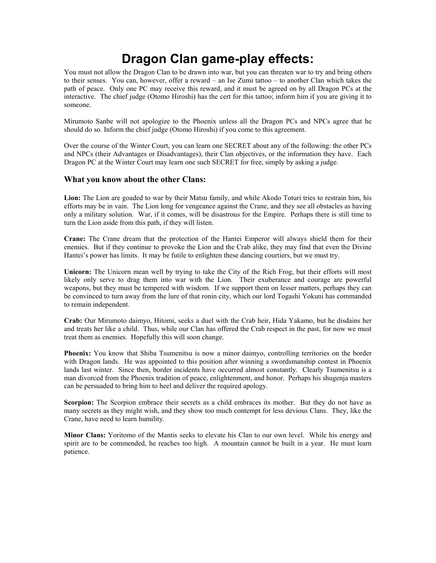### **Dragon Clan game-play effects:**

You must not allow the Dragon Clan to be drawn into war, but you can threaten war to try and bring others to their senses. You can, however, offer a reward – an Ise Zumi tattoo – to another Clan which takes the path of peace. Only one PC may receive this reward, and it must be agreed on by all Dragon PCs at the interactive. The chief judge (Otomo Hiroshi) has the cert for this tattoo; inform him if you are giving it to someone.

Mirumoto Sanbe will not apologize to the Phoenix unless all the Dragon PCs and NPCs agree that he should do so. Inform the chief judge (Otomo Hiroshi) if you come to this agreement.

Over the course of the Winter Court, you can learn one SECRET about any of the following: the other PCs and NPCs (their Advantages or Disadvantages), their Clan objectives, or the information they have. Each Dragon PC at the Winter Court may learn one such SECRET for free, simply by asking a judge.

#### **What you know about the other Clans:**

**Lion:** The Lion are goaded to war by their Matsu family, and while Akodo Toturi tries to restrain him, his efforts may be in vain. The Lion long for vengeance against the Crane, and they see all obstacles as having only a military solution. War, if it comes, will be disastrous for the Empire. Perhaps there is still time to turn the Lion aside from this path, if they will listen.

**Crane:** The Crane dream that the protection of the Hantei Emperor will always shield them for their enemies. But if they continue to provoke the Lion and the Crab alike, they may find that even the Divine Hantei's power has limits. It may be futile to enlighten these dancing courtiers, but we must try.

**Unicorn:** The Unicorn mean well by trying to take the City of the Rich Frog, but their efforts will most likely only serve to drag them into war with the Lion. Their exuberance and courage are powerful weapons, but they must be tempered with wisdom. If we support them on lesser matters, perhaps they can be convinced to turn away from the lure of that ronin city, which our lord Togashi Yokuni has commanded to remain independent.

**Crab:** Our Mirumoto daimyo, Hitomi, seeks a duel with the Crab heir, Hida Yakamo, but he disdains her and treats her like a child. Thus, while our Clan has offered the Crab respect in the past, for now we must treat them as enemies. Hopefully this will soon change.

**Phoenix:** You know that Shiba Tsumenitsu is now a minor daimyo, controlling territories on the border with Dragon lands. He was appointed to this position after winning a swordsmanship contest in Phoenix lands last winter. Since then, border incidents have occurred almost constantly. Clearly Tsumenitsu is a man divorced from the Phoenix tradition of peace, enlightenment, and honor. Perhaps his shugenja masters can be persuaded to bring him to heel and deliver the required apology.

**Scorpion:** The Scorpion embrace their secrets as a child embraces its mother. But they do not have as many secrets as they might wish, and they show too much contempt for less devious Clans. They, like the Crane, have need to learn humility.

**Minor Clans:** Yoritomo of the Mantis seeks to elevate his Clan to our own level. While his energy and spirit are to be commended, he reaches too high. A mountain cannot be built in a year. He must learn patience.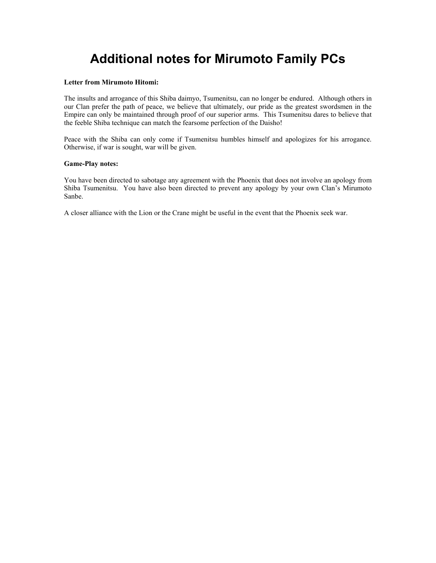# **Additional notes for Mirumoto Family PCs**

#### **Letter from Mirumoto Hitomi:**

The insults and arrogance of this Shiba daimyo, Tsumenitsu, can no longer be endured. Although others in our Clan prefer the path of peace, we believe that ultimately, our pride as the greatest swordsmen in the Empire can only be maintained through proof of our superior arms. This Tsumenitsu dares to believe that the feeble Shiba technique can match the fearsome perfection of the Daisho!

Peace with the Shiba can only come if Tsumenitsu humbles himself and apologizes for his arrogance. Otherwise, if war is sought, war will be given.

#### **Game-Play notes:**

You have been directed to sabotage any agreement with the Phoenix that does not involve an apology from Shiba Tsumenitsu. You have also been directed to prevent any apology by your own Clan's Mirumoto Sanbe.

A closer alliance with the Lion or the Crane might be useful in the event that the Phoenix seek war.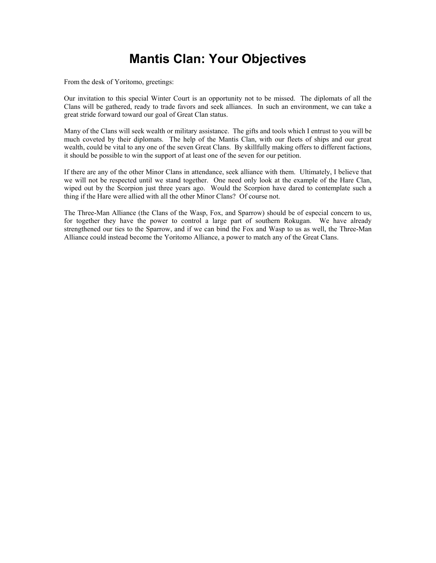### **Mantis Clan: Your Objectives**

From the desk of Yoritomo, greetings:

Our invitation to this special Winter Court is an opportunity not to be missed. The diplomats of all the Clans will be gathered, ready to trade favors and seek alliances. In such an environment, we can take a great stride forward toward our goal of Great Clan status.

Many of the Clans will seek wealth or military assistance. The gifts and tools which I entrust to you will be much coveted by their diplomats. The help of the Mantis Clan, with our fleets of ships and our great wealth, could be vital to any one of the seven Great Clans. By skillfully making offers to different factions, it should be possible to win the support of at least one of the seven for our petition.

If there are any of the other Minor Clans in attendance, seek alliance with them. Ultimately, I believe that we will not be respected until we stand together. One need only look at the example of the Hare Clan, wiped out by the Scorpion just three years ago. Would the Scorpion have dared to contemplate such a thing if the Hare were allied with all the other Minor Clans? Of course not.

The Three-Man Alliance (the Clans of the Wasp, Fox, and Sparrow) should be of especial concern to us, for together they have the power to control a large part of southern Rokugan. We have already strengthened our ties to the Sparrow, and if we can bind the Fox and Wasp to us as well, the Three-Man Alliance could instead become the Yoritomo Alliance, a power to match any of the Great Clans.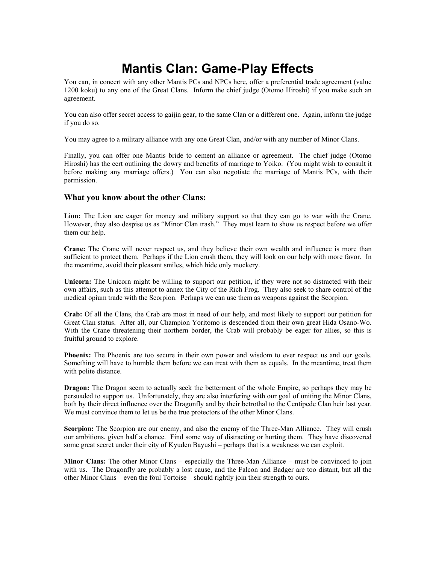# **Mantis Clan: Game-Play Effects**

You can, in concert with any other Mantis PCs and NPCs here, offer a preferential trade agreement (value 1200 koku) to any one of the Great Clans. Inform the chief judge (Otomo Hiroshi) if you make such an agreement.

You can also offer secret access to gaijin gear, to the same Clan or a different one. Again, inform the judge if you do so.

You may agree to a military alliance with any one Great Clan, and/or with any number of Minor Clans.

Finally, you can offer one Mantis bride to cement an alliance or agreement. The chief judge (Otomo Hiroshi) has the cert outlining the dowry and benefits of marriage to Yoiko. (You might wish to consult it before making any marriage offers.) You can also negotiate the marriage of Mantis PCs, with their permission.

#### **What you know about the other Clans:**

**Lion:** The Lion are eager for money and military support so that they can go to war with the Crane. However, they also despise us as "Minor Clan trash." They must learn to show us respect before we offer them our help.

**Crane:** The Crane will never respect us, and they believe their own wealth and influence is more than sufficient to protect them. Perhaps if the Lion crush them, they will look on our help with more favor. In the meantime, avoid their pleasant smiles, which hide only mockery.

**Unicorn:** The Unicorn might be willing to support our petition, if they were not so distracted with their own affairs, such as this attempt to annex the City of the Rich Frog. They also seek to share control of the medical opium trade with the Scorpion. Perhaps we can use them as weapons against the Scorpion.

**Crab:** Of all the Clans, the Crab are most in need of our help, and most likely to support our petition for Great Clan status. After all, our Champion Yoritomo is descended from their own great Hida Osano-Wo. With the Crane threatening their northern border, the Crab will probably be eager for allies, so this is fruitful ground to explore.

**Phoenix:** The Phoenix are too secure in their own power and wisdom to ever respect us and our goals. Something will have to humble them before we can treat with them as equals. In the meantime, treat them with polite distance.

**Dragon:** The Dragon seem to actually seek the betterment of the whole Empire, so perhaps they may be persuaded to support us. Unfortunately, they are also interfering with our goal of uniting the Minor Clans, both by their direct influence over the Dragonfly and by their betrothal to the Centipede Clan heir last year. We must convince them to let us be the true protectors of the other Minor Clans.

**Scorpion:** The Scorpion are our enemy, and also the enemy of the Three-Man Alliance. They will crush our ambitions, given half a chance. Find some way of distracting or hurting them. They have discovered some great secret under their city of Kyuden Bayushi – perhaps that is a weakness we can exploit.

**Minor Clans:** The other Minor Clans – especially the Three-Man Alliance – must be convinced to join with us. The Dragonfly are probably a lost cause, and the Falcon and Badger are too distant, but all the other Minor Clans – even the foul Tortoise – should rightly join their strength to ours.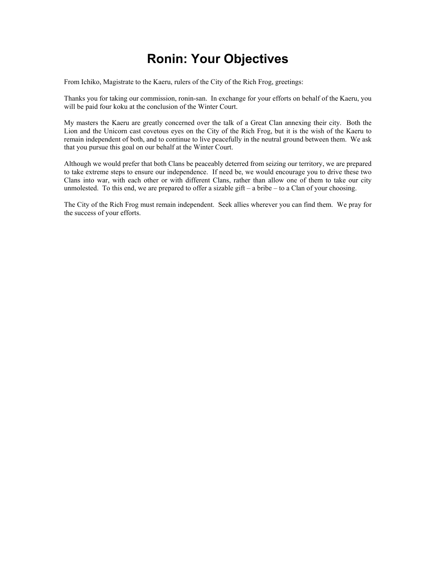# **Ronin: Your Objectives**

From Ichiko, Magistrate to the Kaeru, rulers of the City of the Rich Frog, greetings:

Thanks you for taking our commission, ronin-san. In exchange for your efforts on behalf of the Kaeru, you will be paid four koku at the conclusion of the Winter Court.

My masters the Kaeru are greatly concerned over the talk of a Great Clan annexing their city. Both the Lion and the Unicorn cast covetous eyes on the City of the Rich Frog, but it is the wish of the Kaeru to remain independent of both, and to continue to live peacefully in the neutral ground between them. We ask that you pursue this goal on our behalf at the Winter Court.

Although we would prefer that both Clans be peaceably deterred from seizing our territory, we are prepared to take extreme steps to ensure our independence. If need be, we would encourage you to drive these two Clans into war, with each other or with different Clans, rather than allow one of them to take our city unmolested. To this end, we are prepared to offer a sizable gift  $-$  a bribe  $-$  to a Clan of your choosing.

The City of the Rich Frog must remain independent. Seek allies wherever you can find them. We pray for the success of your efforts.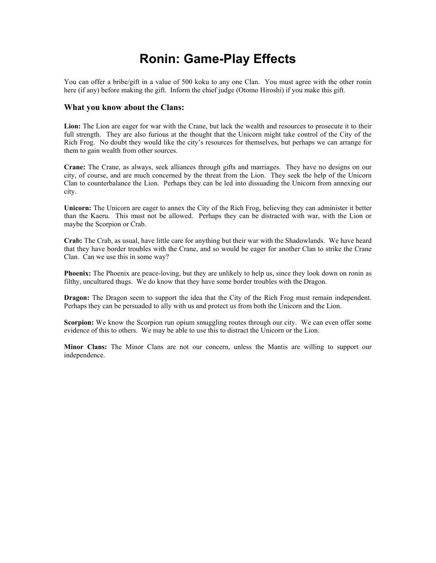### **Ronin: Game-Play Effects**

You can offer a bribe/gift in a value of 500 koku to any one Clan. You must agree with the other ronin here (if any) before making the gift. Inform the chief judge (Otomo Hiroshi) if you make this gift.

#### **What you know about the Clans:**

**Lion:** The Lion are eager for war with the Crane, but lack the wealth and resources to prosecute it to their full strength. They are also furious at the thought that the Unicorn might take control of the City of the Rich Frog. No doubt they would like the city's resources for themselves, but perhaps we can arrange for them to gain wealth from other sources.

**Crane:** The Crane, as always, seek alliances through gifts and marriages. They have no designs on our city, of course, and are much concerned by the threat from the Lion. They seek the help of the Unicorn Clan to counterbalance the Lion. Perhaps they can be led into dissuading the Unicorn from annexing our city.

**Unicorn:** The Unicorn are eager to annex the City of the Rich Frog, believing they can administer it better than the Kaeru. This must not be allowed. Perhaps they can be distracted with war, with the Lion or maybe the Scorpion or Crab.

**Crab:** The Crab, as usual, have little care for anything but their war with the Shadowlands. We have heard that they have border troubles with the Crane, and so would be eager for another Clan to strike the Crane Clan. Can we use this in some way?

**Phoenix:** The Phoenix are peace-loving, but they are unlikely to help us, since they look down on ronin as filthy, uncultured thugs. We do know that they have some border troubles with the Dragon.

**Dragon:** The Dragon seem to support the idea that the City of the Rich Frog must remain independent. Perhaps they can be persuaded to ally with us and protect us from both the Unicorn and the Lion.

**Scorpion:** We know the Scorpion run opium smuggling routes through our city. We can even offer some evidence of this to others. We may be able to use this to distract the Unicorn or the Lion.

**Minor Clans:** The Minor Clans are not our concern, unless the Mantis are willing to support our independence.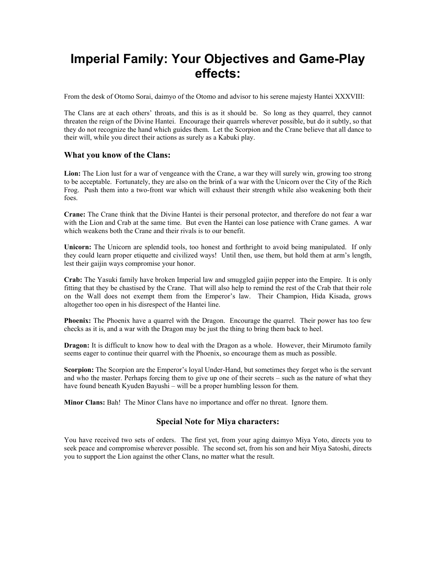### **Imperial Family: Your Objectives and Game-Play effects:**

From the desk of Otomo Sorai, daimyo of the Otomo and advisor to his serene majesty Hantei XXXVIII:

The Clans are at each others' throats, and this is as it should be. So long as they quarrel, they cannot threaten the reign of the Divine Hantei. Encourage their quarrels wherever possible, but do it subtly, so that they do not recognize the hand which guides them. Let the Scorpion and the Crane believe that all dance to their will, while you direct their actions as surely as a Kabuki play.

#### **What you know of the Clans:**

**Lion:** The Lion lust for a war of vengeance with the Crane, a war they will surely win, growing too strong to be acceptable. Fortunately, they are also on the brink of a war with the Unicorn over the City of the Rich Frog. Push them into a two-front war which will exhaust their strength while also weakening both their foes.

**Crane:** The Crane think that the Divine Hantei is their personal protector, and therefore do not fear a war with the Lion and Crab at the same time. But even the Hantei can lose patience with Crane games. A war which weakens both the Crane and their rivals is to our benefit.

**Unicorn:** The Unicorn are splendid tools, too honest and forthright to avoid being manipulated. If only they could learn proper etiquette and civilized ways! Until then, use them, but hold them at arm's length, lest their gaijin ways compromise your honor.

**Crab:** The Yasuki family have broken Imperial law and smuggled gaijin pepper into the Empire. It is only fitting that they be chastised by the Crane. That will also help to remind the rest of the Crab that their role on the Wall does not exempt them from the Emperor's law. Their Champion, Hida Kisada, grows altogether too open in his disrespect of the Hantei line.

**Phoenix:** The Phoenix have a quarrel with the Dragon. Encourage the quarrel. Their power has too few checks as it is, and a war with the Dragon may be just the thing to bring them back to heel.

**Dragon:** It is difficult to know how to deal with the Dragon as a whole. However, their Mirumoto family seems eager to continue their quarrel with the Phoenix, so encourage them as much as possible.

**Scorpion:** The Scorpion are the Emperor's loyal Under-Hand, but sometimes they forget who is the servant and who the master. Perhaps forcing them to give up one of their secrets – such as the nature of what they have found beneath Kyuden Bayushi – will be a proper humbling lesson for them.

**Minor Clans:** Bah! The Minor Clans have no importance and offer no threat. Ignore them.

#### **Special Note for Miya characters:**

You have received two sets of orders. The first yet, from your aging daimyo Miya Yoto, directs you to seek peace and compromise wherever possible. The second set, from his son and heir Miya Satoshi, directs you to support the Lion against the other Clans, no matter what the result.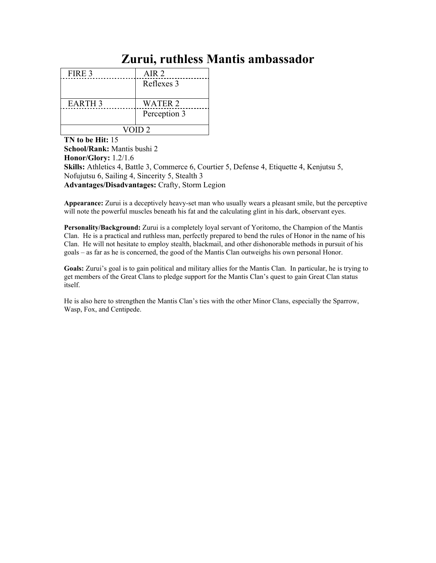### **Zurui, ruthless Mantis ambassador**

| FIRE 3             | AIR <sub>2</sub> |  |
|--------------------|------------------|--|
|                    | Reflexes 3       |  |
|                    |                  |  |
| EARTH <sub>3</sub> | <b>WATER 2</b>   |  |
|                    | Perception 3     |  |
|                    |                  |  |
| VOID <sub>2</sub>  |                  |  |

**TN to be Hit:** 15 **School/Rank:** Mantis bushi 2 **Honor/Glory:** 1.2/1.6 **Skills:** Athletics 4, Battle 3, Commerce 6, Courtier 5, Defense 4, Etiquette 4, Kenjutsu 5, Nofujutsu 6, Sailing 4, Sincerity 5, Stealth 3 **Advantages/Disadvantages:** Crafty, Storm Legion

**Appearance:** Zurui is a deceptively heavy-set man who usually wears a pleasant smile, but the perceptive will note the powerful muscles beneath his fat and the calculating glint in his dark, observant eyes.

**Personality/Background:** Zurui is a completely loyal servant of Yoritomo, the Champion of the Mantis Clan. He is a practical and ruthless man, perfectly prepared to bend the rules of Honor in the name of his Clan. He will not hesitate to employ stealth, blackmail, and other dishonorable methods in pursuit of his goals – as far as he is concerned, the good of the Mantis Clan outweighs his own personal Honor.

**Goals:** Zurui's goal is to gain political and military allies for the Mantis Clan. In particular, he is trying to get members of the Great Clans to pledge support for the Mantis Clan's quest to gain Great Clan status itself.

He is also here to strengthen the Mantis Clan's ties with the other Minor Clans, especially the Sparrow, Wasp, Fox, and Centipede.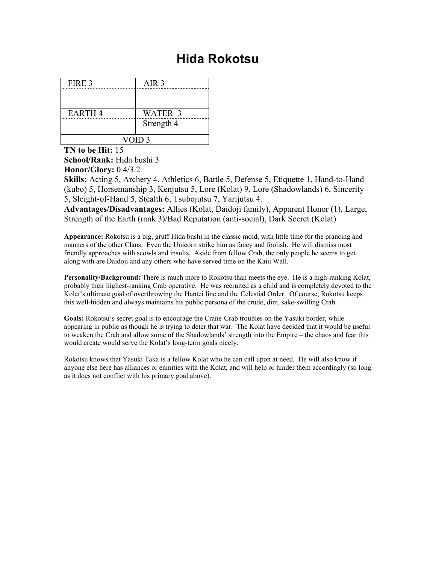## **Hida Rokotsu**

| FIRE 3        | AIR <sub>3</sub> |  |
|---------------|------------------|--|
|               |                  |  |
|               |                  |  |
| <b>EARTH4</b> | WATER 3          |  |
|               | Strength 4       |  |
|               |                  |  |
| VOID 3        |                  |  |

**TN to be Hit:** 15 **School/Rank:** Hida bushi 3 **Honor/Glory:** 0.4/3.2

**Skills:** Acting 5, Archery 4, Athletics 6, Battle 5, Defense 5, Etiquette 1, Hand-to-Hand (kubo) 5, Horsemanship 3, Kenjutsu 5, Lore (Kolat) 9, Lore (Shadowlands) 6, Sincerity 5, Sleight-of-Hand 5, Stealth 6, Tsubojutsu 7, Yarijutsu 4.

**Advantages/Disadvantages:** Allies (Kolat, Daidoji family), Apparent Honor (1), Large, Strength of the Earth (rank 3)/Bad Reputation (anti-social), Dark Secret (Kolat)

**Appearance:** Rokotsu is a big, gruff Hida bushi in the classic mold, with little time for the prancing and manners of the other Clans. Even the Unicorn strike him as fancy and foolish. He will dismiss most friendly approaches with scowls and insults. Aside from fellow Crab, the only people he seems to get along with are Daidoji and any others who have served time on the Kaiu Wall.

**Personality/Background:** There is much more to Rokotsu than meets the eye. He is a high-ranking Kolat, probably their highest-ranking Crab operative. He was recruited as a child and is completely devoted to the Kolat's ultimate goal of overthrowing the Hantei line and the Celestial Order. Of course, Rokotsu keeps this well-hidden and always maintains his public persona of the crude, dim, sake-swilling Crab.

**Goals:** Rokotsu's secret goal is to encourage the Crane-Crab troubles on the Yasuki border, while appearing in public as though he is trying to deter that war. The Kolat have decided that it would be useful to weaken the Crab and allow some of the Shadowlands' strength into the Empire – the chaos and fear this would create would serve the Kolat's long-term goals nicely.

Rokotsu knows that Yasuki Taka is a fellow Kolat who he can call upon at need. He will also know if anyone else here has alliances or enmities with the Kolat, and will help or hinder them accordingly (so long as it does not conflict with his primary goal above).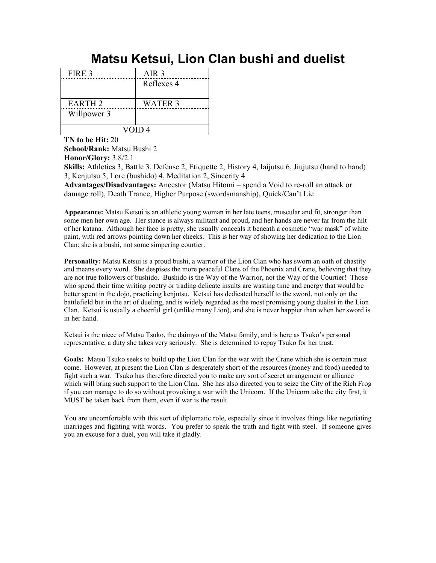# **Matsu Ketsui, Lion Clan bushi and duelist**

| FIRE 3            | AIR <sub>3</sub> |  |
|-------------------|------------------|--|
|                   | Reflexes 4       |  |
|                   |                  |  |
| <b>EARTH 2</b>    | <b>WATER 3</b>   |  |
| Willpower 3       |                  |  |
|                   |                  |  |
| VOID <sub>4</sub> |                  |  |

**TN to be Hit:** 20

**School/Rank:** Matsu Bushi 2 **Honor/Glory:** 3.8/2.1

**Skills:** Athletics 3, Battle 3, Defense 2, Etiquette 2, History 4, Iaijutsu 6, Jiujutsu (hand to hand) 3, Kenjutsu 5, Lore (bushido) 4, Meditation 2, Sincerity 4

**Advantages/Disadvantages:** Ancestor (Matsu Hitomi – spend a Void to re-roll an attack or damage roll), Death Trance, Higher Purpose (swordsmanship), Quick/Can't Lie

**Appearance:** Matsu Ketsui is an athletic young woman in her late teens, muscular and fit, stronger than some men her own age. Her stance is always militant and proud, and her hands are never far from the hilt of her katana. Although her face is pretty, she usually conceals it beneath a cosmetic "war mask" of white paint, with red arrows pointing down her cheeks. This is her way of showing her dedication to the Lion Clan: she is a bushi, not some simpering courtier.

**Personality:** Matsu Ketsui is a proud bushi, a warrior of the Lion Clan who has sworn an oath of chastity and means every word. She despises the more peaceful Clans of the Phoenix and Crane, believing that they are not true followers of bushido. Bushido is the Way of the Warrior, not the Way of the Courtier! Those who spend their time writing poetry or trading delicate insults are wasting time and energy that would be better spent in the dojo, practicing kenjutsu. Ketsui has dedicated herself to the sword, not only on the battlefield but in the art of dueling, and is widely regarded as the most promising young duelist in the Lion Clan. Ketsui is usually a cheerful girl (unlike many Lion), and she is never happier than when her sword is in her hand.

Ketsui is the niece of Matsu Tsuko, the daimyo of the Matsu family, and is here as Tsuko's personal representative, a duty she takes very seriously. She is determined to repay Tsuko for her trust.

**Goals:** Matsu Tsuko seeks to build up the Lion Clan for the war with the Crane which she is certain must come. However, at present the Lion Clan is desperately short of the resources (money and food) needed to fight such a war. Tsuko has therefore directed you to make any sort of secret arrangement or alliance which will bring such support to the Lion Clan. She has also directed you to seize the City of the Rich Frog if you can manage to do so without provoking a war with the Unicorn. If the Unicorn take the city first, it MUST be taken back from them, even if war is the result.

You are uncomfortable with this sort of diplomatic role, especially since it involves things like negotiating marriages and fighting with words. You prefer to speak the truth and fight with steel. If someone gives you an excuse for a duel, you will take it gladly.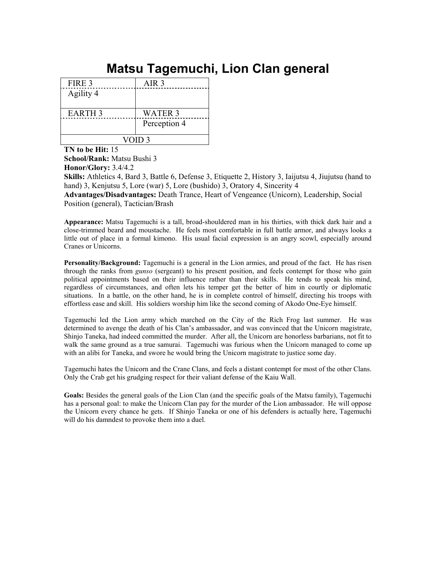# **Matsu Tagemuchi, Lion Clan general**

| FIRE 3            | AIR <sub>3</sub> |  |
|-------------------|------------------|--|
| Agility 4         |                  |  |
|                   |                  |  |
| <b>EARTH 3</b>    | <b>WATER 3</b>   |  |
|                   | Perception 4     |  |
|                   |                  |  |
| VOID <sub>3</sub> |                  |  |

**TN to be Hit:** 15 **School/Rank:** Matsu Bushi 3 **Honor/Glory:** 3.4/4.2

**Skills:** Athletics 4, Bard 3, Battle 6, Defense 3, Etiquette 2, History 3, Iaijutsu 4, Jiujutsu (hand to hand) 3, Kenjutsu 5, Lore (war) 5, Lore (bushido) 3, Oratory 4, Sincerity 4

**Advantages/Disadvantages:** Death Trance, Heart of Vengeance (Unicorn), Leadership, Social Position (general), Tactician/Brash

**Appearance:** Matsu Tagemuchi is a tall, broad-shouldered man in his thirties, with thick dark hair and a close-trimmed beard and moustache. He feels most comfortable in full battle armor, and always looks a little out of place in a formal kimono. His usual facial expression is an angry scowl, especially around Cranes or Unicorns.

**Personality/Background:** Tagemuchi is a general in the Lion armies, and proud of the fact. He has risen through the ranks from *gunso* (sergeant) to his present position, and feels contempt for those who gain political appointments based on their influence rather than their skills. He tends to speak his mind, regardless of circumstances, and often lets his temper get the better of him in courtly or diplomatic situations. In a battle, on the other hand, he is in complete control of himself, directing his troops with effortless ease and skill. His soldiers worship him like the second coming of Akodo One-Eye himself.

Tagemuchi led the Lion army which marched on the City of the Rich Frog last summer. He was determined to avenge the death of his Clan's ambassador, and was convinced that the Unicorn magistrate, Shinjo Taneka, had indeed committed the murder. After all, the Unicorn are honorless barbarians, not fit to walk the same ground as a true samurai. Tagemuchi was furious when the Unicorn managed to come up with an alibi for Taneka, and swore he would bring the Unicorn magistrate to justice some day.

Tagemuchi hates the Unicorn and the Crane Clans, and feels a distant contempt for most of the other Clans. Only the Crab get his grudging respect for their valiant defense of the Kaiu Wall.

**Goals:** Besides the general goals of the Lion Clan (and the specific goals of the Matsu family), Tagemuchi has a personal goal: to make the Unicorn Clan pay for the murder of the Lion ambassador. He will oppose the Unicorn every chance he gets. If Shinjo Taneka or one of his defenders is actually here, Tagemuchi will do his damndest to provoke them into a duel.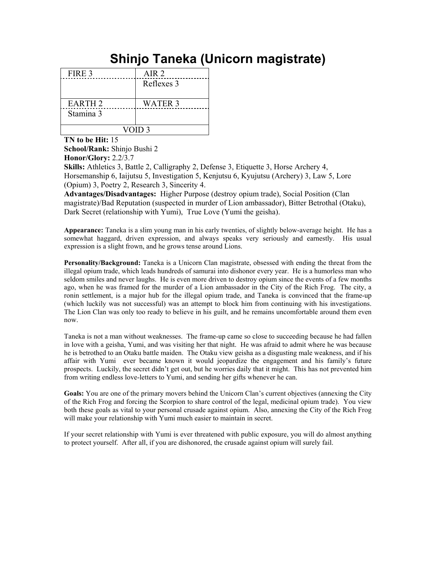# **Shinjo Taneka (Unicorn magistrate)**

| FIRE 3             | AIR <sub>2</sub> |  |
|--------------------|------------------|--|
|                    | Reflexes 3       |  |
|                    |                  |  |
| EARTH <sub>2</sub> | <b>WATER 3</b>   |  |
| Stamina 3          |                  |  |
|                    |                  |  |
| VOID <sub>3</sub>  |                  |  |

**TN to be Hit:** 15

**School/Rank:** Shinjo Bushi 2 **Honor/Glory:** 2.2/3.7

**Skills:** Athletics 3, Battle 2, Calligraphy 2, Defense 3, Etiquette 3, Horse Archery 4, Horsemanship 6, Iaijutsu 5, Investigation 5, Kenjutsu 6, Kyujutsu (Archery) 3, Law 5, Lore (Opium) 3, Poetry 2, Research 3, Sincerity 4.

**Advantages/Disadvantages:** Higher Purpose (destroy opium trade), Social Position (Clan magistrate)/Bad Reputation (suspected in murder of Lion ambassador), Bitter Betrothal (Otaku), Dark Secret (relationship with Yumi), True Love (Yumi the geisha).

**Appearance:** Taneka is a slim young man in his early twenties, of slightly below-average height. He has a somewhat haggard, driven expression, and always speaks very seriously and earnestly. His usual expression is a slight frown, and he grows tense around Lions.

**Personality/Background:** Taneka is a Unicorn Clan magistrate, obsessed with ending the threat from the illegal opium trade, which leads hundreds of samurai into dishonor every year. He is a humorless man who seldom smiles and never laughs. He is even more driven to destroy opium since the events of a few months ago, when he was framed for the murder of a Lion ambassador in the City of the Rich Frog. The city, a ronin settlement, is a major hub for the illegal opium trade, and Taneka is convinced that the frame-up (which luckily was not successful) was an attempt to block him from continuing with his investigations. The Lion Clan was only too ready to believe in his guilt, and he remains uncomfortable around them even now.

Taneka is not a man without weaknesses. The frame-up came so close to succeeding because he had fallen in love with a geisha, Yumi, and was visiting her that night. He was afraid to admit where he was because he is betrothed to an Otaku battle maiden. The Otaku view geisha as a disgusting male weakness, and if his affair with Yumi ever became known it would jeopardize the engagement and his family's future prospects. Luckily, the secret didn't get out, but he worries daily that it might. This has not prevented him from writing endless love-letters to Yumi, and sending her gifts whenever he can.

**Goals:** You are one of the primary movers behind the Unicorn Clan's current objectives (annexing the City of the Rich Frog and forcing the Scorpion to share control of the legal, medicinal opium trade). You view both these goals as vital to your personal crusade against opium. Also, annexing the City of the Rich Frog will make your relationship with Yumi much easier to maintain in secret.

If your secret relationship with Yumi is ever threatened with public exposure, you will do almost anything to protect yourself. After all, if you are dishonored, the crusade against opium will surely fail.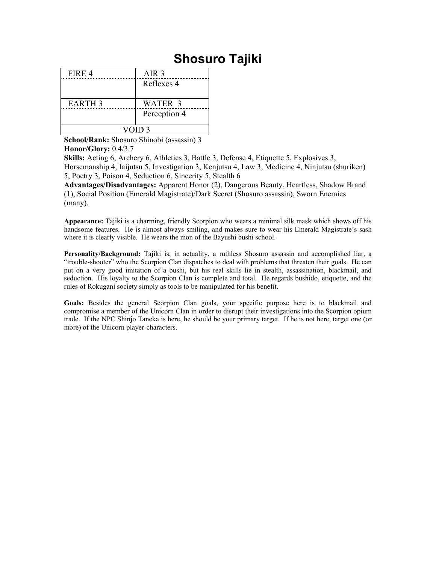## **Shosuro Tajiki**

| FIRE 4         | AIR 3          |  |
|----------------|----------------|--|
|                | Reflexes 4     |  |
|                |                |  |
| <b>EARTH 3</b> | <b>WATER 3</b> |  |
|                | Perception 4   |  |
|                |                |  |
| VOID 3         |                |  |

**School/Rank:** Shosuro Shinobi (assassin) 3 **Honor/Glory:** 0.4/3.7

**Skills:** Acting 6, Archery 6, Athletics 3, Battle 3, Defense 4, Etiquette 5, Explosives 3, Horsemanship 4, Iaijutsu 5, Investigation 3, Kenjutsu 4, Law 3, Medicine 4, Ninjutsu (shuriken) 5, Poetry 3, Poison 4, Seduction 6, Sincerity 5, Stealth 6

**Advantages/Disadvantages:** Apparent Honor (2), Dangerous Beauty, Heartless, Shadow Brand (1), Social Position (Emerald Magistrate)/Dark Secret (Shosuro assassin), Sworn Enemies (many).

**Appearance:** Tajiki is a charming, friendly Scorpion who wears a minimal silk mask which shows off his handsome features. He is almost always smiling, and makes sure to wear his Emerald Magistrate's sash where it is clearly visible. He wears the mon of the Bayushi bushi school.

**Personality/Background:** Tajiki is, in actuality, a ruthless Shosuro assassin and accomplished liar, a "trouble-shooter" who the Scorpion Clan dispatches to deal with problems that threaten their goals. He can put on a very good imitation of a bushi, but his real skills lie in stealth, assassination, blackmail, and seduction. His loyalty to the Scorpion Clan is complete and total. He regards bushido, etiquette, and the rules of Rokugani society simply as tools to be manipulated for his benefit.

**Goals:** Besides the general Scorpion Clan goals, your specific purpose here is to blackmail and compromise a member of the Unicorn Clan in order to disrupt their investigations into the Scorpion opium trade. If the NPC Shinjo Taneka is here, he should be your primary target. If he is not here, target one (or more) of the Unicorn player-characters.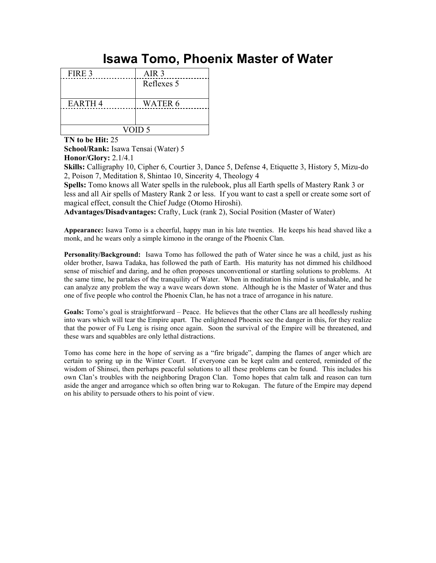### **Isawa Tomo, Phoenix Master of Water**

| FIRE 3        | AIR <sub>3</sub> |  |
|---------------|------------------|--|
|               | Reflexes 5       |  |
|               |                  |  |
| <b>EARTH4</b> | <b>WATER 6</b>   |  |
|               |                  |  |
|               |                  |  |
| VOID 5        |                  |  |

**TN to be Hit:** 25

**School/Rank:** Isawa Tensai (Water) 5 **Honor/Glory:** 2.1/4.1

**Skills:** Calligraphy 10, Cipher 6, Courtier 3, Dance 5, Defense 4, Etiquette 3, History 5, Mizu-do 2, Poison 7, Meditation 8, Shintao 10, Sincerity 4, Theology 4

**Spells:** Tomo knows all Water spells in the rulebook, plus all Earth spells of Mastery Rank 3 or less and all Air spells of Mastery Rank 2 or less. If you want to cast a spell or create some sort of magical effect, consult the Chief Judge (Otomo Hiroshi).

**Advantages/Disadvantages:** Crafty, Luck (rank 2), Social Position (Master of Water)

**Appearance:** Isawa Tomo is a cheerful, happy man in his late twenties. He keeps his head shaved like a monk, and he wears only a simple kimono in the orange of the Phoenix Clan.

**Personality/Background:** Isawa Tomo has followed the path of Water since he was a child, just as his older brother, Isawa Tadaka, has followed the path of Earth. His maturity has not dimmed his childhood sense of mischief and daring, and he often proposes unconventional or startling solutions to problems. At the same time, he partakes of the tranquility of Water. When in meditation his mind is unshakable, and he can analyze any problem the way a wave wears down stone. Although he is the Master of Water and thus one of five people who control the Phoenix Clan, he has not a trace of arrogance in his nature.

Goals: Tomo's goal is straightforward – Peace. He believes that the other Clans are all heedlessly rushing into wars which will tear the Empire apart. The enlightened Phoenix see the danger in this, for they realize that the power of Fu Leng is rising once again. Soon the survival of the Empire will be threatened, and these wars and squabbles are only lethal distractions.

Tomo has come here in the hope of serving as a "fire brigade", damping the flames of anger which are certain to spring up in the Winter Court. If everyone can be kept calm and centered, reminded of the wisdom of Shinsei, then perhaps peaceful solutions to all these problems can be found. This includes his own Clan's troubles with the neighboring Dragon Clan. Tomo hopes that calm talk and reason can turn aside the anger and arrogance which so often bring war to Rokugan. The future of the Empire may depend on his ability to persuade others to his point of view.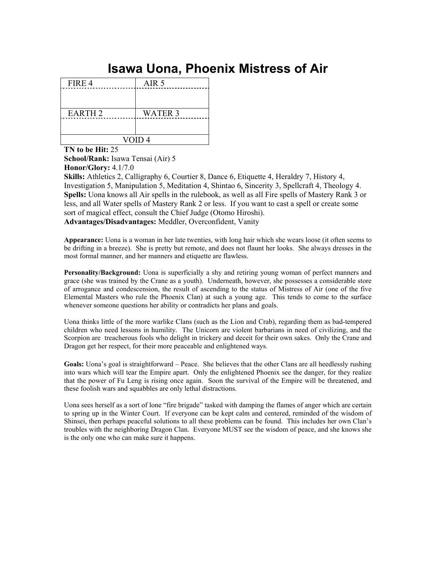# **Isawa Uona, Phoenix Mistress of Air**

| FIRE 4            | AIR <sub>5</sub> |  |
|-------------------|------------------|--|
|                   |                  |  |
|                   |                  |  |
| <b>EARTH2</b>     | <b>WATER 3</b>   |  |
|                   |                  |  |
|                   |                  |  |
| VOID <sub>4</sub> |                  |  |

**TN to be Hit:** 25 **School/Rank:** Isawa Tensai (Air) 5

**Honor/Glory:** 4.1/7.0

**Skills:** Athletics 2, Calligraphy 6, Courtier 8, Dance 6, Etiquette 4, Heraldry 7, History 4, Investigation 5, Manipulation 5, Meditation 4, Shintao 6, Sincerity 3, Spellcraft 4, Theology 4. **Spells:** Uona knows all Air spells in the rulebook, as well as all Fire spells of Mastery Rank 3 or less, and all Water spells of Mastery Rank 2 or less. If you want to cast a spell or create some sort of magical effect, consult the Chief Judge (Otomo Hiroshi). **Advantages/Disadvantages:** Meddler, Overconfident, Vanity

**Appearance:** Uona is a woman in her late twenties, with long hair which she wears loose (it often seems to be drifting in a breeze). She is pretty but remote, and does not flaunt her looks. She always dresses in the most formal manner, and her manners and etiquette are flawless.

**Personality/Background:** Uona is superficially a shy and retiring young woman of perfect manners and grace (she was trained by the Crane as a youth). Underneath, however, she possesses a considerable store of arrogance and condescension, the result of ascending to the status of Mistress of Air (one of the five Elemental Masters who rule the Phoenix Clan) at such a young age. This tends to come to the surface whenever someone questions her ability or contradicts her plans and goals.

Uona thinks little of the more warlike Clans (such as the Lion and Crab), regarding them as bad-tempered children who need lessons in humility. The Unicorn are violent barbarians in need of civilizing, and the Scorpion are treacherous fools who delight in trickery and deceit for their own sakes. Only the Crane and Dragon get her respect, for their more peaceable and enlightened ways.

Goals: Uona's goal is straightforward – Peace. She believes that the other Clans are all heedlessly rushing into wars which will tear the Empire apart. Only the enlightened Phoenix see the danger, for they realize that the power of Fu Leng is rising once again. Soon the survival of the Empire will be threatened, and these foolish wars and squabbles are only lethal distractions.

Uona sees herself as a sort of lone "fire brigade" tasked with damping the flames of anger which are certain to spring up in the Winter Court. If everyone can be kept calm and centered, reminded of the wisdom of Shinsei, then perhaps peaceful solutions to all these problems can be found. This includes her own Clan's troubles with the neighboring Dragon Clan. Everyone MUST see the wisdom of peace, and she knows she is the only one who can make sure it happens.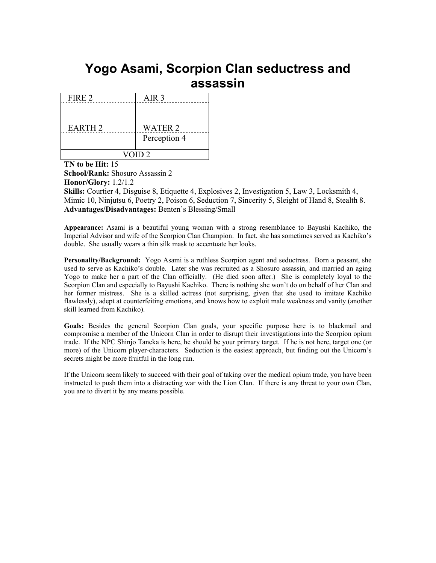### **Yogo Asami, Scorpion Clan seductress and assassin**

| FIRE 2            | AIR <sub>3</sub> |  |
|-------------------|------------------|--|
|                   |                  |  |
|                   |                  |  |
| <b>EARTH 2</b>    | <b>WATER 2</b>   |  |
|                   | Perception 4     |  |
|                   |                  |  |
| VOID <sub>2</sub> |                  |  |

**TN to be Hit:** 15 **School/Rank:** Shosuro Assassin 2 **Honor/Glory:** 1.2/1.2 **Skills:** Courtier 4, Disguise 8, Etiquette 4, Explosives 2, Investigation 5, Law 3, Locksmith 4, Mimic 10, Ninjutsu 6, Poetry 2, Poison 6, Seduction 7, Sincerity 5, Sleight of Hand 8, Stealth 8. **Advantages/Disadvantages:** Benten's Blessing/Small

**Appearance:** Asami is a beautiful young woman with a strong resemblance to Bayushi Kachiko, the Imperial Advisor and wife of the Scorpion Clan Champion. In fact, she has sometimes served as Kachiko's double. She usually wears a thin silk mask to accentuate her looks.

**Personality/Background:** Yogo Asami is a ruthless Scorpion agent and seductress. Born a peasant, she used to serve as Kachiko's double. Later she was recruited as a Shosuro assassin, and married an aging Yogo to make her a part of the Clan officially. (He died soon after.) She is completely loyal to the Scorpion Clan and especially to Bayushi Kachiko. There is nothing she won't do on behalf of her Clan and her former mistress. She is a skilled actress (not surprising, given that she used to imitate Kachiko flawlessly), adept at counterfeiting emotions, and knows how to exploit male weakness and vanity (another skill learned from Kachiko).

**Goals:** Besides the general Scorpion Clan goals, your specific purpose here is to blackmail and compromise a member of the Unicorn Clan in order to disrupt their investigations into the Scorpion opium trade. If the NPC Shinjo Taneka is here, he should be your primary target. If he is not here, target one (or more) of the Unicorn player-characters. Seduction is the easiest approach, but finding out the Unicorn's secrets might be more fruitful in the long run.

If the Unicorn seem likely to succeed with their goal of taking over the medical opium trade, you have been instructed to push them into a distracting war with the Lion Clan. If there is any threat to your own Clan, you are to divert it by any means possible.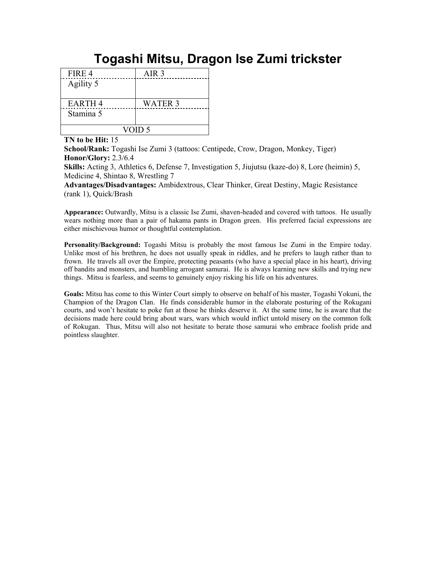# **Togashi Mitsu, Dragon Ise Zumi trickster**

| FIRE 4        | AIR <sub>3</sub> |  |
|---------------|------------------|--|
| Agility 5     |                  |  |
|               |                  |  |
| <b>EARTH4</b> | <b>WATER 3</b>   |  |
| Stamina 5     |                  |  |
|               |                  |  |
| VOID 5        |                  |  |

**TN to be Hit:** 15

**School/Rank:** Togashi Ise Zumi 3 (tattoos: Centipede, Crow, Dragon, Monkey, Tiger) **Honor/Glory:** 2.3/6.4

**Skills:** Acting 3, Athletics 6, Defense 7, Investigation 5, Jiujutsu (kaze-do) 8, Lore (heimin) 5, Medicine 4, Shintao 8, Wrestling 7

**Advantages/Disadvantages:** Ambidextrous, Clear Thinker, Great Destiny, Magic Resistance (rank 1), Quick/Brash

**Appearance:** Outwardly, Mitsu is a classic Ise Zumi, shaven-headed and covered with tattoos. He usually wears nothing more than a pair of hakama pants in Dragon green. His preferred facial expressions are either mischievous humor or thoughtful contemplation.

**Personality/Background:** Togashi Mitsu is probably the most famous Ise Zumi in the Empire today. Unlike most of his brethren, he does not usually speak in riddles, and he prefers to laugh rather than to frown. He travels all over the Empire, protecting peasants (who have a special place in his heart), driving off bandits and monsters, and humbling arrogant samurai. He is always learning new skills and trying new things. Mitsu is fearless, and seems to genuinely enjoy risking his life on his adventures.

**Goals:** Mitsu has come to this Winter Court simply to observe on behalf of his master, Togashi Yokuni, the Champion of the Dragon Clan. He finds considerable humor in the elaborate posturing of the Rokugani courts, and won't hesitate to poke fun at those he thinks deserve it. At the same time, he is aware that the decisions made here could bring about wars, wars which would inflict untold misery on the common folk of Rokugan. Thus, Mitsu will also not hesitate to berate those samurai who embrace foolish pride and pointless slaughter.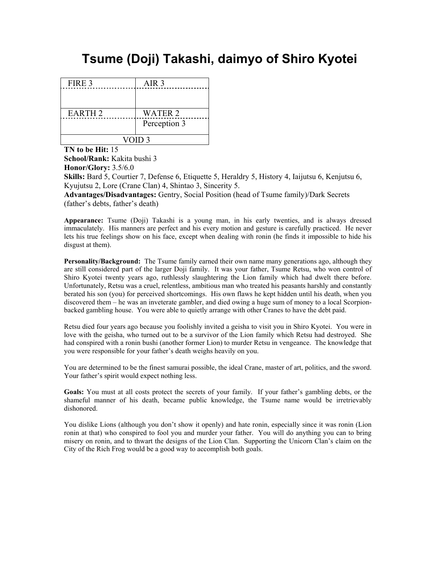## **Tsume (Doji) Takashi, daimyo of Shiro Kyotei**

| FIRE 3             | AIR <sub>3</sub> |  |
|--------------------|------------------|--|
|                    |                  |  |
|                    |                  |  |
| EARTH <sub>2</sub> | <b>WATER 2</b>   |  |
|                    | Perception 3     |  |
|                    |                  |  |
| VOID <sub>3</sub>  |                  |  |

**TN to be Hit:** 15

**School/Rank:** Kakita bushi 3 **Honor/Glory:** 3.5/6.0

**Skills:** Bard 5, Courtier 7, Defense 6, Etiquette 5, Heraldry 5, History 4, Iaijutsu 6, Kenjutsu 6, Kyujutsu 2, Lore (Crane Clan) 4, Shintao 3, Sincerity 5.

**Advantages/Disadvantages:** Gentry, Social Position (head of Tsume family)/Dark Secrets (father's debts, father's death)

**Appearance:** Tsume (Doji) Takashi is a young man, in his early twenties, and is always dressed immaculately. His manners are perfect and his every motion and gesture is carefully practiced. He never lets his true feelings show on his face, except when dealing with ronin (he finds it impossible to hide his disgust at them).

**Personality/Background:** The Tsume family earned their own name many generations ago, although they are still considered part of the larger Doji family. It was your father, Tsume Retsu, who won control of Shiro Kyotei twenty years ago, ruthlessly slaughtering the Lion family which had dwelt there before. Unfortunately, Retsu was a cruel, relentless, ambitious man who treated his peasants harshly and constantly berated his son (you) for perceived shortcomings. His own flaws he kept hidden until his death, when you discovered them – he was an inveterate gambler, and died owing a huge sum of money to a local Scorpionbacked gambling house. You were able to quietly arrange with other Cranes to have the debt paid.

Retsu died four years ago because you foolishly invited a geisha to visit you in Shiro Kyotei. You were in love with the geisha, who turned out to be a survivor of the Lion family which Retsu had destroyed. She had conspired with a ronin bushi (another former Lion) to murder Retsu in vengeance. The knowledge that you were responsible for your father's death weighs heavily on you.

You are determined to be the finest samurai possible, the ideal Crane, master of art, politics, and the sword. Your father's spirit would expect nothing less.

**Goals:** You must at all costs protect the secrets of your family. If your father's gambling debts, or the shameful manner of his death, became public knowledge, the Tsume name would be irretrievably dishonored.

You dislike Lions (although you don't show it openly) and hate ronin, especially since it was ronin (Lion ronin at that) who conspired to fool you and murder your father. You will do anything you can to bring misery on ronin, and to thwart the designs of the Lion Clan. Supporting the Unicorn Clan's claim on the City of the Rich Frog would be a good way to accomplish both goals.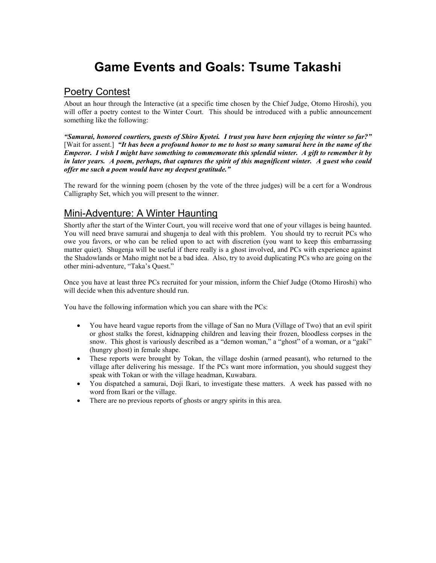# **Game Events and Goals: Tsume Takashi**

### **Poetry Contest**

About an hour through the Interactive (at a specific time chosen by the Chief Judge, Otomo Hiroshi), you will offer a poetry contest to the Winter Court. This should be introduced with a public announcement something like the following:

*"Samurai, honored courtiers, guests of Shiro Kyotei. I trust you have been enjoying the winter so far?"* [Wait for assent.] *"It has been a profound honor to me to host so many samurai here in the name of the Emperor. I wish I might have something to commemorate this splendid winter. A gift to remember it by in later years. A poem, perhaps, that captures the spirit of this magnificent winter. A guest who could offer me such a poem would have my deepest gratitude."* 

The reward for the winning poem (chosen by the vote of the three judges) will be a cert for a Wondrous Calligraphy Set, which you will present to the winner.

### Mini-Adventure: A Winter Haunting

Shortly after the start of the Winter Court, you will receive word that one of your villages is being haunted. You will need brave samurai and shugenja to deal with this problem. You should try to recruit PCs who owe you favors, or who can be relied upon to act with discretion (you want to keep this embarrassing matter quiet). Shugenja will be useful if there really is a ghost involved, and PCs with experience against the Shadowlands or Maho might not be a bad idea. Also, try to avoid duplicating PCs who are going on the other mini-adventure, "Taka's Quest."

Once you have at least three PCs recruited for your mission, inform the Chief Judge (Otomo Hiroshi) who will decide when this adventure should run.

You have the following information which you can share with the PCs:

- You have heard vague reports from the village of San no Mura (Village of Two) that an evil spirit or ghost stalks the forest, kidnapping children and leaving their frozen, bloodless corpses in the snow. This ghost is variously described as a "demon woman," a "ghost" of a woman, or a "gaki" (hungry ghost) in female shape.
- These reports were brought by Tokan, the village doshin (armed peasant), who returned to the village after delivering his message. If the PCs want more information, you should suggest they speak with Tokan or with the village headman, Kuwabara.
- You dispatched a samurai, Doji Ikari, to investigate these matters. A week has passed with no word from Ikari or the village.
- There are no previous reports of ghosts or angry spirits in this area.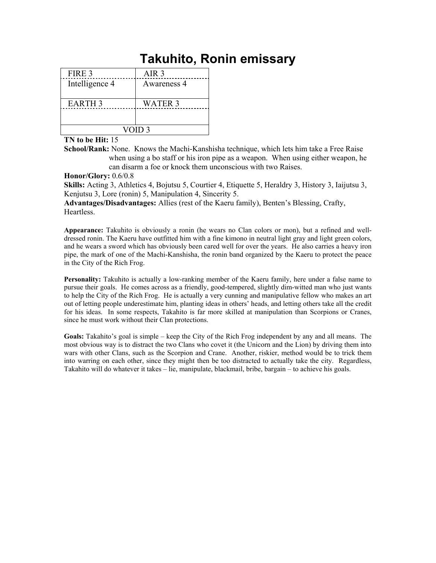# **Takuhito, Ronin emissary**

| FIRE 3            | AIR <sub>3</sub> |
|-------------------|------------------|
| Intelligence 4    | Awareness 4      |
| <b>EARTH 3</b>    | WATER 3          |
| VOID <sub>3</sub> |                  |

**TN to be Hit:** 15

**School/Rank:** None. Knows the Machi-Kanshisha technique, which lets him take a Free Raise when using a bo staff or his iron pipe as a weapon. When using either weapon, he can disarm a foe or knock them unconscious with two Raises.

**Honor/Glory:** 0.6/0.8

**Skills:** Acting 3, Athletics 4, Bojutsu 5, Courtier 4, Etiquette 5, Heraldry 3, History 3, Iaijutsu 3, Kenjutsu 3, Lore (ronin) 5, Manipulation 4, Sincerity 5.

**Advantages/Disadvantages:** Allies (rest of the Kaeru family), Benten's Blessing, Crafty, Heartless.

**Appearance:** Takuhito is obviously a ronin (he wears no Clan colors or mon), but a refined and welldressed ronin. The Kaeru have outfitted him with a fine kimono in neutral light gray and light green colors, and he wears a sword which has obviously been cared well for over the years. He also carries a heavy iron pipe, the mark of one of the Machi-Kanshisha, the ronin band organized by the Kaeru to protect the peace in the City of the Rich Frog.

**Personality:** Takuhito is actually a low-ranking member of the Kaeru family, here under a false name to pursue their goals. He comes across as a friendly, good-tempered, slightly dim-witted man who just wants to help the City of the Rich Frog. He is actually a very cunning and manipulative fellow who makes an art out of letting people underestimate him, planting ideas in others' heads, and letting others take all the credit for his ideas. In some respects, Takahito is far more skilled at manipulation than Scorpions or Cranes, since he must work without their Clan protections.

**Goals:** Takahito's goal is simple – keep the City of the Rich Frog independent by any and all means. The most obvious way is to distract the two Clans who covet it (the Unicorn and the Lion) by driving them into wars with other Clans, such as the Scorpion and Crane. Another, riskier, method would be to trick them into warring on each other, since they might then be too distracted to actually take the city. Regardless, Takahito will do whatever it takes – lie, manipulate, blackmail, bribe, bargain – to achieve his goals.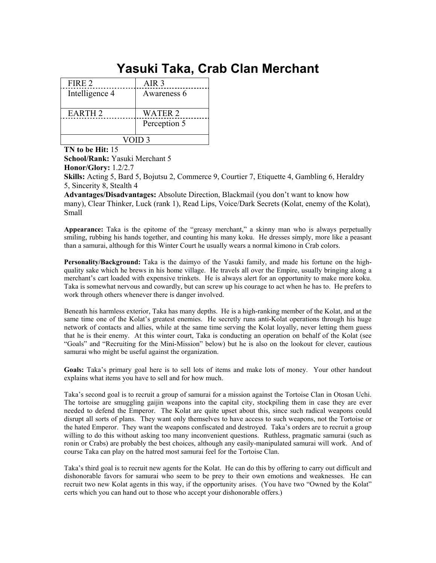# **Yasuki Taka, Crab Clan Merchant**

| FIRE 2         | AIR 3          |
|----------------|----------------|
| Intelligence 4 | Awareness 6    |
| <b>EARTH 2</b> | <b>WATER 2</b> |
|                | Perception 5   |
| VOID 3         |                |

**TN to be Hit:** 15

**School/Rank:** Yasuki Merchant 5

**Honor/Glory:** 1.2/2.7

**Skills:** Acting 5, Bard 5, Bojutsu 2, Commerce 9, Courtier 7, Etiquette 4, Gambling 6, Heraldry 5, Sincerity 8, Stealth 4

**Advantages/Disadvantages:** Absolute Direction, Blackmail (you don't want to know how many), Clear Thinker, Luck (rank 1), Read Lips, Voice/Dark Secrets (Kolat, enemy of the Kolat), Small

**Appearance:** Taka is the epitome of the "greasy merchant," a skinny man who is always perpetually smiling, rubbing his hands together, and counting his many koku. He dresses simply, more like a peasant than a samurai, although for this Winter Court he usually wears a normal kimono in Crab colors.

**Personality/Background:** Taka is the daimyo of the Yasuki family, and made his fortune on the highquality sake which he brews in his home village. He travels all over the Empire, usually bringing along a merchant's cart loaded with expensive trinkets. He is always alert for an opportunity to make more koku. Taka is somewhat nervous and cowardly, but can screw up his courage to act when he has to. He prefers to work through others whenever there is danger involved.

Beneath his harmless exterior, Taka has many depths. He is a high-ranking member of the Kolat, and at the same time one of the Kolat's greatest enemies. He secretly runs anti-Kolat operations through his huge network of contacts and allies, while at the same time serving the Kolat loyally, never letting them guess that he is their enemy. At this winter court, Taka is conducting an operation on behalf of the Kolat (see "Goals" and "Recruiting for the Mini-Mission" below) but he is also on the lookout for clever, cautious samurai who might be useful against the organization.

**Goals:** Taka's primary goal here is to sell lots of items and make lots of money. Your other handout explains what items you have to sell and for how much.

Taka's second goal is to recruit a group of samurai for a mission against the Tortoise Clan in Otosan Uchi. The tortoise are smuggling gaijin weapons into the capital city, stockpiling them in case they are ever needed to defend the Emperor. The Kolat are quite upset about this, since such radical weapons could disrupt all sorts of plans. They want only themselves to have access to such weapons, not the Tortoise or the hated Emperor. They want the weapons confiscated and destroyed. Taka's orders are to recruit a group willing to do this without asking too many inconvenient questions. Ruthless, pragmatic samurai (such as ronin or Crabs) are probably the best choices, although any easily-manipulated samurai will work. And of course Taka can play on the hatred most samurai feel for the Tortoise Clan.

Taka's third goal is to recruit new agents for the Kolat. He can do this by offering to carry out difficult and dishonorable favors for samurai who seem to be prey to their own emotions and weaknesses. He can recruit two new Kolat agents in this way, if the opportunity arises. (You have two "Owned by the Kolat" certs which you can hand out to those who accept your dishonorable offers.)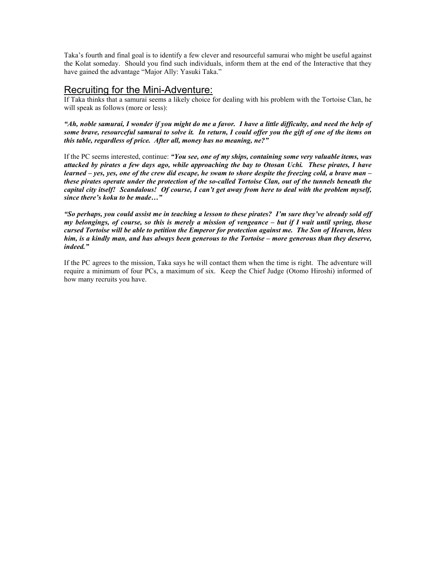Taka's fourth and final goal is to identify a few clever and resourceful samurai who might be useful against the Kolat someday. Should you find such individuals, inform them at the end of the Interactive that they have gained the advantage "Major Ally: Yasuki Taka."

### Recruiting for the Mini-Adventure:

If Taka thinks that a samurai seems a likely choice for dealing with his problem with the Tortoise Clan, he will speak as follows (more or less):

*"Ah, noble samurai, I wonder if you might do me a favor. I have a little difficulty, and need the help of some brave, resourceful samurai to solve it. In return, I could offer you the gift of one of the items on this table, regardless of price. After all, money has no meaning, ne?"* 

If the PC seems interested, continue: *"You see, one of my ships, containing some very valuable items, was attacked by pirates a few days ago, while approaching the bay to Otosan Uchi. These pirates, I have learned – yes, yes, one of the crew did escape, he swam to shore despite the freezing cold, a brave man – these pirates operate under the protection of the so-called Tortoise Clan, out of the tunnels beneath the capital city itself! Scandalous! Of course, I can't get away from here to deal with the problem myself, since there's koku to be made…"* 

*"So perhaps, you could assist me in teaching a lesson to these pirates? I'm sure they've already sold off my belongings, of course, so this is merely a mission of vengeance – but if I wait until spring, those cursed Tortoise will be able to petition the Emperor for protection against me. The Son of Heaven, bless him, is a kindly man, and has always been generous to the Tortoise – more generous than they deserve, indeed."* 

If the PC agrees to the mission, Taka says he will contact them when the time is right. The adventure will require a minimum of four PCs, a maximum of six. Keep the Chief Judge (Otomo Hiroshi) informed of how many recruits you have.